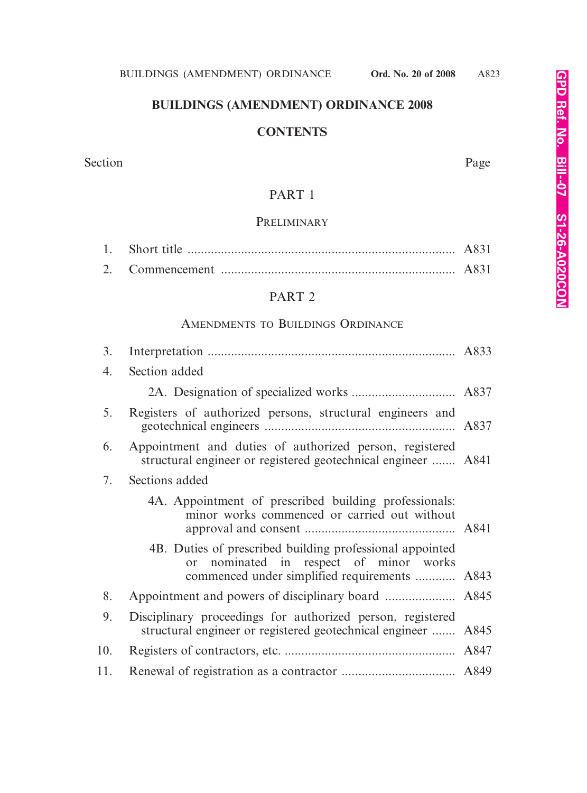# **BUILDINGS (AMENDMENT) ORDINANCE 2008**

# **CONTENTS**

Section Page

# PART 1

# **PRELIMINARY**

|  | A831 |
|--|------|

# PART 2

# AMENDMENTS TO BUILDINGS ORDINANCE

| 3.  |                                                                                                                                                     |  |
|-----|-----------------------------------------------------------------------------------------------------------------------------------------------------|--|
| 4.  | Section added                                                                                                                                       |  |
|     |                                                                                                                                                     |  |
| 5.  | Registers of authorized persons, structural engineers and                                                                                           |  |
| 6.  | Appointment and duties of authorized person, registered<br>structural engineer or registered geotechnical engineer  A841                            |  |
| 7.  | Sections added                                                                                                                                      |  |
|     | 4A. Appointment of prescribed building professionals:<br>minor works commenced or carried out without                                               |  |
|     | 4B. Duties of prescribed building professional appointed<br>or nominated in respect of minor works<br>commenced under simplified requirements  A843 |  |
| 8.  |                                                                                                                                                     |  |
| 9.  | Disciplinary proceedings for authorized person, registered<br>structural engineer or registered geotechnical engineer  A845                         |  |
| 10. |                                                                                                                                                     |  |
| 11. |                                                                                                                                                     |  |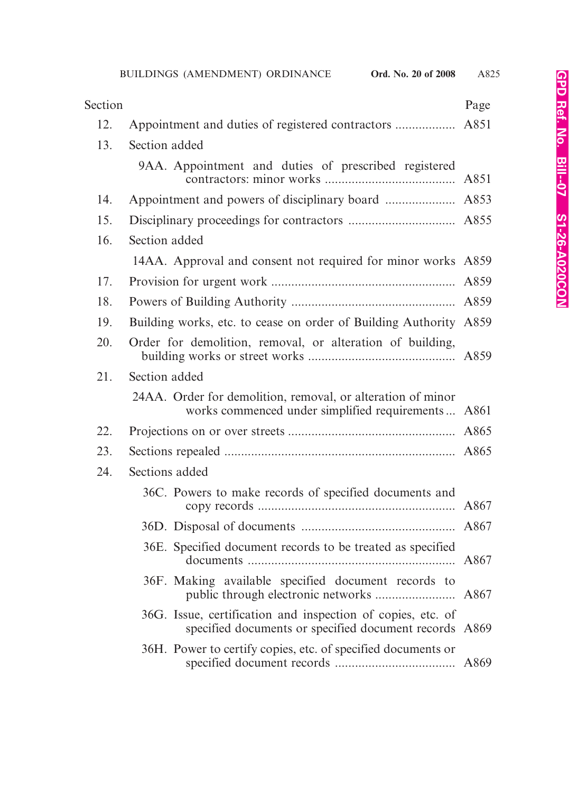| Section |                                                                                                                       | Page |
|---------|-----------------------------------------------------------------------------------------------------------------------|------|
| 12.     |                                                                                                                       |      |
| 13.     | Section added                                                                                                         |      |
|         | 9AA. Appointment and duties of prescribed registered                                                                  |      |
| 14.     |                                                                                                                       |      |
| 15.     |                                                                                                                       |      |
| 16.     | Section added                                                                                                         |      |
|         | 14AA. Approval and consent not required for minor works A859                                                          |      |
| 17.     |                                                                                                                       |      |
| 18.     |                                                                                                                       |      |
| 19.     | Building works, etc. to cease on order of Building Authority A859                                                     |      |
| 20.     | Order for demolition, removal, or alteration of building,                                                             |      |
| 21.     | Section added                                                                                                         |      |
|         | 24AA. Order for demolition, removal, or alteration of minor<br>works commenced under simplified requirements A861     |      |
| 22.     |                                                                                                                       |      |
| 23.     |                                                                                                                       |      |
| 24.     | Sections added                                                                                                        |      |
|         | 36C. Powers to make records of specified documents and                                                                |      |
|         |                                                                                                                       |      |
|         | 36E. Specified document records to be treated as specified                                                            |      |
|         | 36F. Making available specified document records to                                                                   |      |
|         | 36G. Issue, certification and inspection of copies, etc. of<br>specified documents or specified document records A869 |      |
|         | 36H. Power to certify copies, etc. of specified documents or                                                          |      |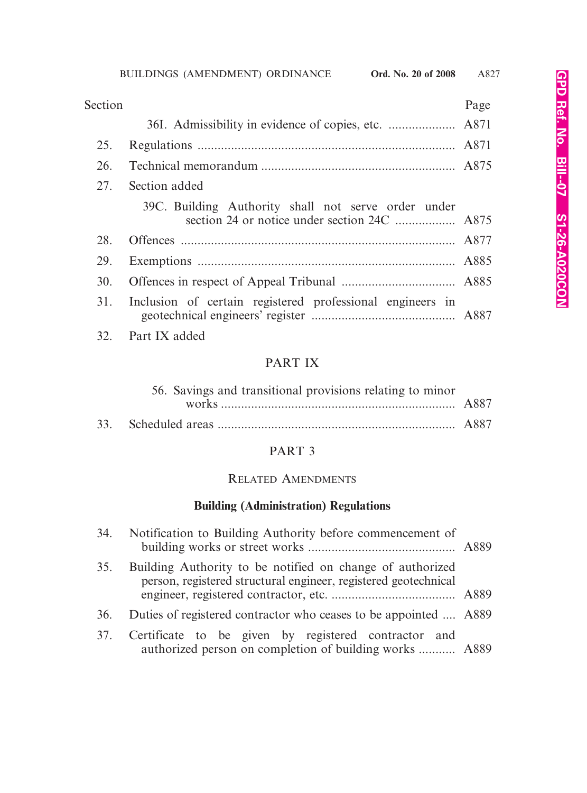| Section |                                                           | Page |
|---------|-----------------------------------------------------------|------|
|         |                                                           |      |
| 25.     |                                                           |      |
| 26.     |                                                           |      |
| 27.     | Section added                                             |      |
|         | 39C. Building Authority shall not serve order under       |      |
| 28.     |                                                           |      |
| 29.     |                                                           |      |
| 30.     |                                                           |      |
| 31.     | Inclusion of certain registered professional engineers in |      |
|         | 32. Part IX added                                         |      |

# PART IX

| 56. Savings and transitional provisions relating to minor |  |
|-----------------------------------------------------------|--|
|                                                           |  |
|                                                           |  |

# PART 3

# RELATED AMENDMENTS

# **Building (Administration) Regulations**

|     | 34. Notification to Building Authority before commencement of                                                                |  |
|-----|------------------------------------------------------------------------------------------------------------------------------|--|
| 35. | Building Authority to be notified on change of authorized<br>person, registered structural engineer, registered geotechnical |  |
| 36. | Duties of registered contractor who ceases to be appointed  A889                                                             |  |
| 37. | Certificate to be given by registered contractor and<br>authorized person on completion of building works  A889              |  |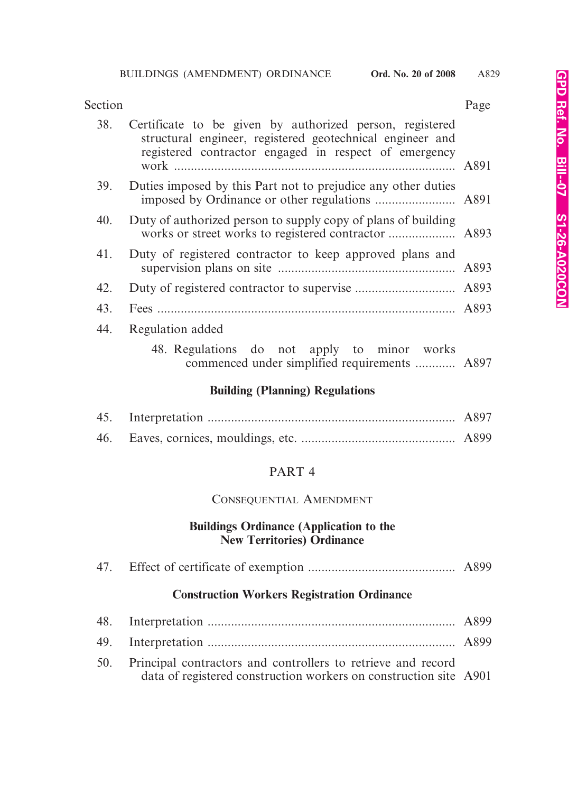| Section |                                                                                                                                                                                | Page |
|---------|--------------------------------------------------------------------------------------------------------------------------------------------------------------------------------|------|
| 38.     | Certificate to be given by authorized person, registered<br>structural engineer, registered geotechnical engineer and<br>registered contractor engaged in respect of emergency |      |
| 39.     | Duties imposed by this Part not to prejudice any other duties                                                                                                                  |      |
| 40.     | Duty of authorized person to supply copy of plans of building                                                                                                                  |      |
| 41.     | Duty of registered contractor to keep approved plans and                                                                                                                       |      |
| 42.     |                                                                                                                                                                                |      |
| 43.     |                                                                                                                                                                                |      |
| 44.     | Regulation added                                                                                                                                                               |      |
|         | 48. Regulations do not apply to minor works<br>commenced under simplified requirements  A897                                                                                   |      |
|         | $\mathbf{D}_{\mathbf{u}}$                                                                                                                                                      |      |

#### **Building (Planning) Regulations**

## PART 4

## CONSEQUENTIAL AMENDMENT

## **Buildings Ordinance (Application to the New Territories) Ordinance**

|     | <b>Construction Workers Registration Ordinance</b>                                                                                |  |
|-----|-----------------------------------------------------------------------------------------------------------------------------------|--|
|     |                                                                                                                                   |  |
| 49. |                                                                                                                                   |  |
| 50. | Principal contractors and controllers to retrieve and record<br>data of registered construction workers on construction site A901 |  |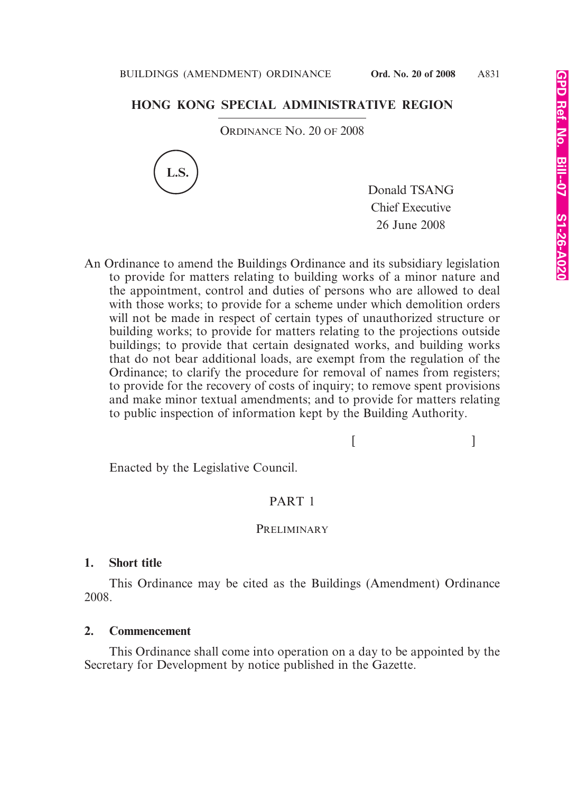# **HONG KONG SPECIAL ADMINISTRATIVE REGION**

ORDINANCE NO. 20 OF 2008



Donald TSANG Chief Executive 26 June 2008

An Ordinance to amend the Buildings Ordinance and its subsidiary legislation to provide for matters relating to building works of a minor nature and the appointment, control and duties of persons who are allowed to deal with those works; to provide for a scheme under which demolition orders will not be made in respect of certain types of unauthorized structure or building works; to provide for matters relating to the projections outside buildings; to provide that certain designated works, and building works that do not bear additional loads, are exempt from the regulation of the Ordinance; to clarify the procedure for removal of names from registers; to provide for the recovery of costs of inquiry; to remove spent provisions and make minor textual amendments; and to provide for matters relating to public inspection of information kept by the Building Authority.

 $[$   $]$ 

Enacted by the Legislative Council.

## PART 1

#### **PRELIMINARY**

#### **1. Short title**

This Ordinance may be cited as the Buildings (Amendment) Ordinance 2008.

#### **2. Commencement**

This Ordinance shall come into operation on a day to be appointed by the Secretary for Development by notice published in the Gazette.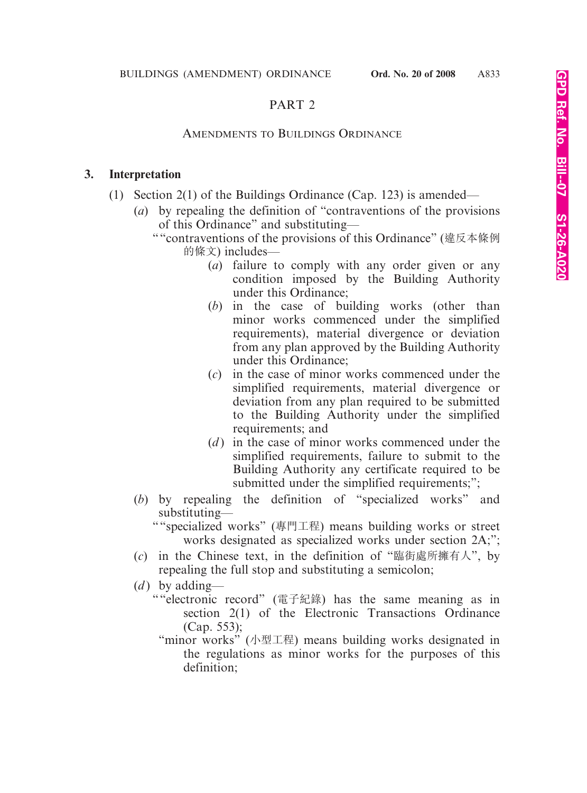# PART 2

# AMENDMENTS TO BUILDINGS ORDINANCE

## **3. Interpretation**

- (1) Section 2(1) of the Buildings Ordinance (Cap. 123) is amended—
	- (*a*) by repealing the definition of "contraventions of the provisions of this Ordinance" and substituting—
		- ""contraventions of the provisions of this Ordinance" (違反本條例 的條文) includes—
			- (*a*) failure to comply with any order given or any condition imposed by the Building Authority under this Ordinance;
			- (*b*) in the case of building works (other than minor works commenced under the simplified requirements), material divergence or deviation from any plan approved by the Building Authority under this Ordinance;
			- (*c*) in the case of minor works commenced under the simplified requirements, material divergence or deviation from any plan required to be submitted to the Building Authority under the simplified requirements; and
			- (*d* ) in the case of minor works commenced under the simplified requirements, failure to submit to the Building Authority any certificate required to be submitted under the simplified requirements;";
	- (*b*) by repealing the definition of "specialized works" and substituting—
		- ""specialized works" (專門工程) means building works or street works designated as specialized works under section 2A;";
	- (*c*) in the Chinese text, in the definition of "臨街處所擁有人", by repealing the full stop and substituting a semicolon;
	- (*d*) by adding—
		- ""electronic record" (電子紀錄) has the same meaning as in section 2(1) of the Electronic Transactions Ordinance (Cap. 553);
			- "minor works" (小型工程) means building works designated in the regulations as minor works for the purposes of this definition;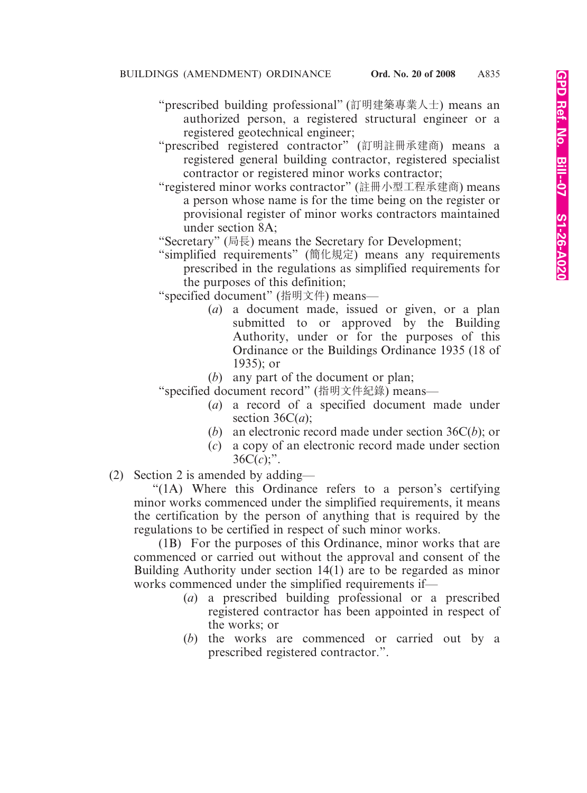- "prescribed building professional" (訂明建築專業人士) means an authorized person, a registered structural engineer or a registered geotechnical engineer;
- "prescribed registered contractor" (訂明註冊承建商) means a registered general building contractor, registered specialist contractor or registered minor works contractor;
- "registered minor works contractor" (註冊小型工程承建商) means a person whose name is for the time being on the register or provisional register of minor works contractors maintained under section 8A;
- "Secretary" (局長) means the Secretary for Development;
- "simplified requirements" (簡化規定) means any requirements prescribed in the regulations as simplified requirements for the purposes of this definition;

"specified document" (指明文件) means—

- (*a*) a document made, issued or given, or a plan submitted to or approved by the Building Authority, under or for the purposes of this Ordinance or the Buildings Ordinance 1935 (18 of 1935); or
- (*b*) any part of the document or plan;

"specified document record" (指明文件紀錄) means—

- (*a*) a record of a specified document made under section  $36C(a)$ ;
- (*b*) an electronic record made under section 36C(*b*); or
- (*c*) a copy of an electronic record made under section  $36C(c)$ ;".
- (2) Section 2 is amended by adding—

"(1A) Where this Ordinance refers to a person's certifying minor works commenced under the simplified requirements, it means the certification by the person of anything that is required by the regulations to be certified in respect of such minor works.

(1B) For the purposes of this Ordinance, minor works that are commenced or carried out without the approval and consent of the Building Authority under section 14(1) are to be regarded as minor works commenced under the simplified requirements if—

- (*a*) a prescribed building professional or a prescribed registered contractor has been appointed in respect of the works; or
- (*b*) the works are commenced or carried out by a prescribed registered contractor.".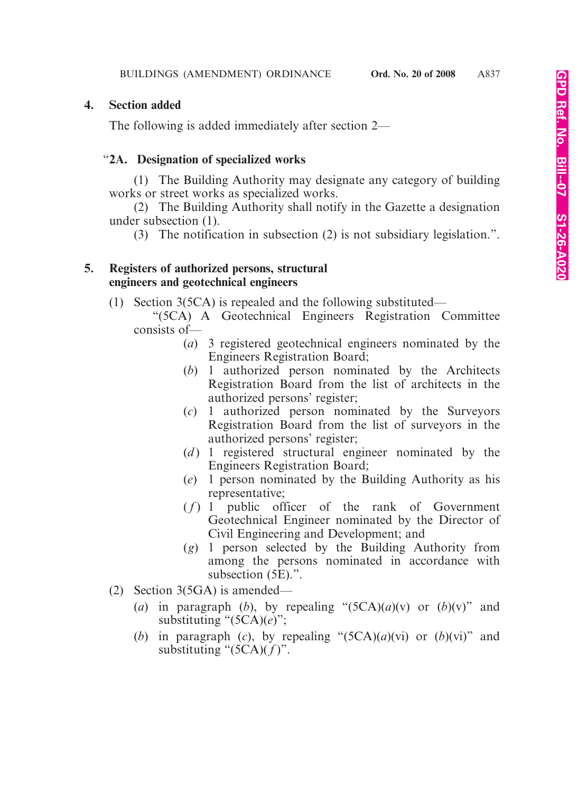# **4. Section added**

The following is added immediately after section 2—

## "**2A. Designation of specialized works**

(1) The Building Authority may designate any category of building works or street works as specialized works.

(2) The Building Authority shall notify in the Gazette a designation under subsection (1).

(3) The notification in subsection (2) is not subsidiary legislation.".

## **5. Registers of authorized persons, structural engineers and geotechnical engineers**

- (1) Section 3(5CA) is repealed and the following substituted—
	- "(5CA) A Geotechnical Engineers Registration Committee consists of—
		- (*a*) 3 registered geotechnical engineers nominated by the Engineers Registration Board;
		- (*b*) 1 authorized person nominated by the Architects Registration Board from the list of architects in the authorized persons' register;
		- (*c*) 1 authorized person nominated by the Surveyors Registration Board from the list of surveyors in the authorized persons' register;
		- (*d*) 1 registered structural engineer nominated by the Engineers Registration Board;
		- (*e*) 1 person nominated by the Building Authority as his representative;
		- $(f)$  1 public officer of the rank of Government Geotechnical Engineer nominated by the Director of Civil Engineering and Development; and
		- (*g*) 1 person selected by the Building Authority from among the persons nominated in accordance with subsection (5E).".
- (2) Section 3(5GA) is amended—
	- (*a*) in paragraph (*b*), by repealing " $(5CA)(a)(v)$  or  $(b)(v)$ " and substituting "(5CA)(*e*)";
	- (*b*) in paragraph (*c*), by repealing " $(5CA)(a)(vi)$  or  $(b)(vi)$ " and substituting " $(5CA)(f)$ ".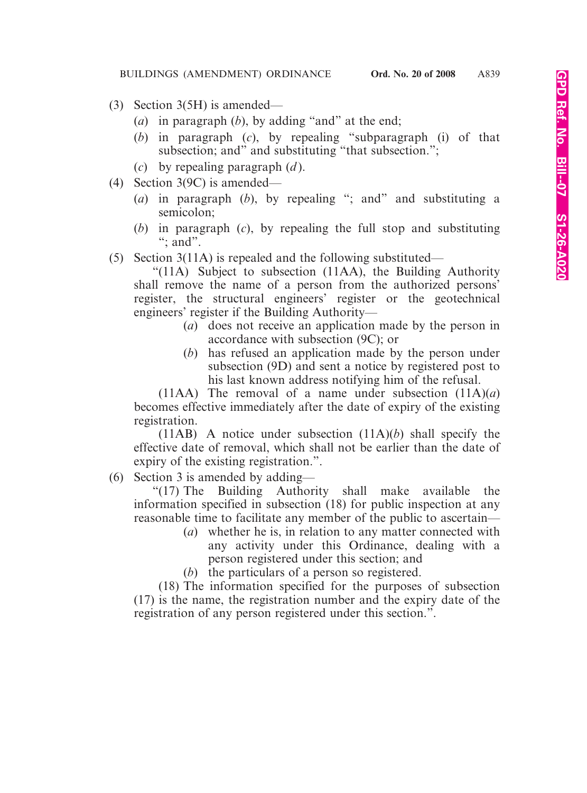- (3) Section 3(5H) is amended—
	- (*a*) in paragraph (*b*), by adding "and" at the end;
	- (*b*) in paragraph (*c*), by repealing "subparagraph (i) of that subsection; and" and substituting "that subsection.";
	- (*c*) by repealing paragraph (*d* ).
- (4) Section 3(9C) is amended—
	- (*a*) in paragraph (*b*), by repealing "; and" and substituting a semicolon;
	- (*b*) in paragraph (*c*), by repealing the full stop and substituting ": and".
- (5) Section 3(11A) is repealed and the following substituted—

"(11A) Subject to subsection (11AA), the Building Authority shall remove the name of a person from the authorized persons' register, the structural engineers' register or the geotechnical engineers' register if the Building Authority—

- (*a*) does not receive an application made by the person in accordance with subsection (9C); or
- (*b*) has refused an application made by the person under subsection (9D) and sent a notice by registered post to his last known address notifying him of the refusal.

(11AA) The removal of a name under subsection  $(11A)(a)$ becomes effective immediately after the date of expiry of the existing registration.

(11AB) A notice under subsection (11A)(*b*) shall specify the effective date of removal, which shall not be earlier than the date of expiry of the existing registration.".

(6) Section 3 is amended by adding—

"(17) The Building Authority shall make available the information specified in subsection (18) for public inspection at any reasonable time to facilitate any member of the public to ascertain—

- (*a*) whether he is, in relation to any matter connected with any activity under this Ordinance, dealing with a person registered under this section; and
- (*b*) the particulars of a person so registered.

(18) The information specified for the purposes of subsection (17) is the name, the registration number and the expiry date of the registration of any person registered under this section.".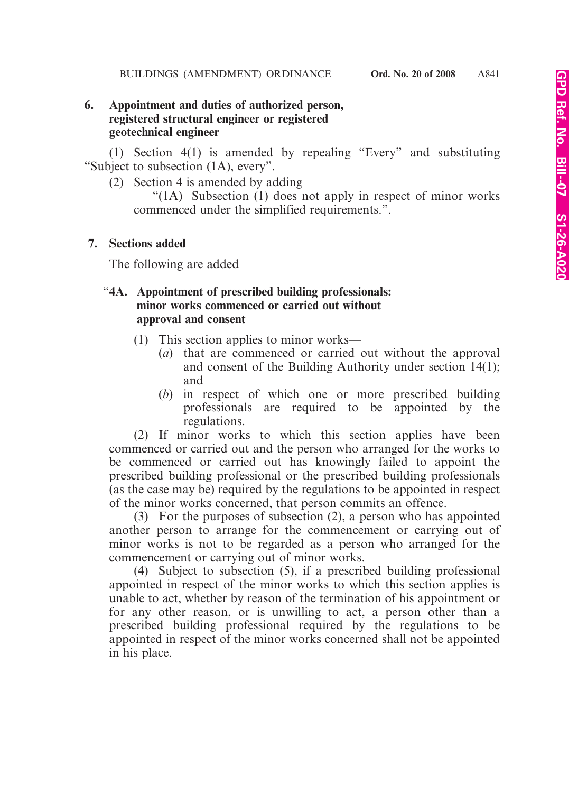# **6. Appointment and duties of authorized person, registered structural engineer or registered geotechnical engineer**

(1) Section 4(1) is amended by repealing "Every" and substituting "Subject to subsection (1A), every".

(2) Section 4 is amended by adding—

"(1A) Subsection (1) does not apply in respect of minor works commenced under the simplified requirements.".

# **7. Sections added**

The following are added—

# "**4A. Appointment of prescribed building professionals: minor works commenced or carried out without approval and consent**

- (1) This section applies to minor works—
	- (*a*) that are commenced or carried out without the approval and consent of the Building Authority under section 14(1); and
	- (*b*) in respect of which one or more prescribed building professionals are required to be appointed by the regulations.

(2) If minor works to which this section applies have been commenced or carried out and the person who arranged for the works to be commenced or carried out has knowingly failed to appoint the prescribed building professional or the prescribed building professionals (as the case may be) required by the regulations to be appointed in respect of the minor works concerned, that person commits an offence.

(3) For the purposes of subsection (2), a person who has appointed another person to arrange for the commencement or carrying out of minor works is not to be regarded as a person who arranged for the commencement or carrying out of minor works.

(4) Subject to subsection (5), if a prescribed building professional appointed in respect of the minor works to which this section applies is unable to act, whether by reason of the termination of his appointment or for any other reason, or is unwilling to act, a person other than a prescribed building professional required by the regulations to be appointed in respect of the minor works concerned shall not be appointed in his place.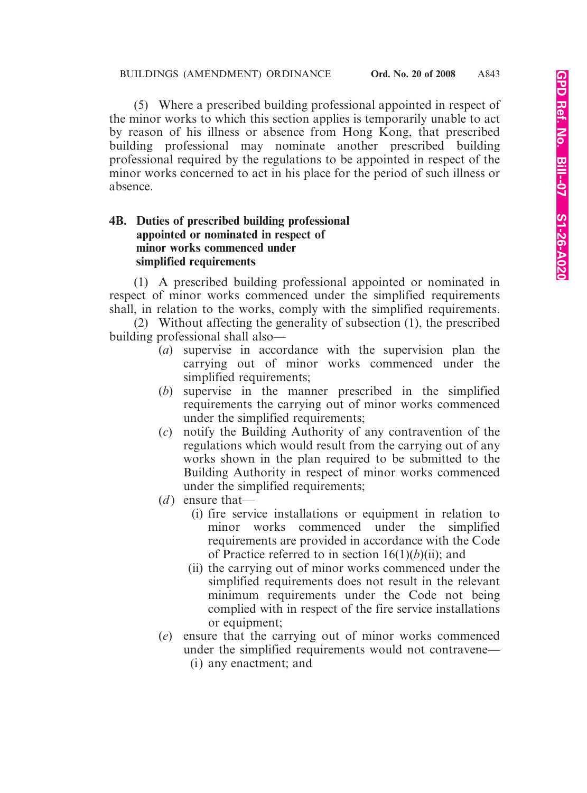(5) Where a prescribed building professional appointed in respect of the minor works to which this section applies is temporarily unable to act by reason of his illness or absence from Hong Kong, that prescribed building professional may nominate another prescribed building professional required by the regulations to be appointed in respect of the minor works concerned to act in his place for the period of such illness or absence.

## **4B. Duties of prescribed building professional appointed or nominated in respect of minor works commenced under simplified requirements**

(1) A prescribed building professional appointed or nominated in respect of minor works commenced under the simplified requirements shall, in relation to the works, comply with the simplified requirements.

(2) Without affecting the generality of subsection (1), the prescribed building professional shall also—

- (*a*) supervise in accordance with the supervision plan the carrying out of minor works commenced under the simplified requirements;
- (*b*) supervise in the manner prescribed in the simplified requirements the carrying out of minor works commenced under the simplified requirements;
- (*c*) notify the Building Authority of any contravention of the regulations which would result from the carrying out of any works shown in the plan required to be submitted to the Building Authority in respect of minor works commenced under the simplified requirements;
- $(d)$  ensure that—
	- (i) fire service installations or equipment in relation to minor works commenced under the simplified requirements are provided in accordance with the Code of Practice referred to in section  $16(1)(b)(ii)$ ; and
	- (ii) the carrying out of minor works commenced under the simplified requirements does not result in the relevant minimum requirements under the Code not being complied with in respect of the fire service installations or equipment;
- (*e*) ensure that the carrying out of minor works commenced under the simplified requirements would not contravene— (i) any enactment; and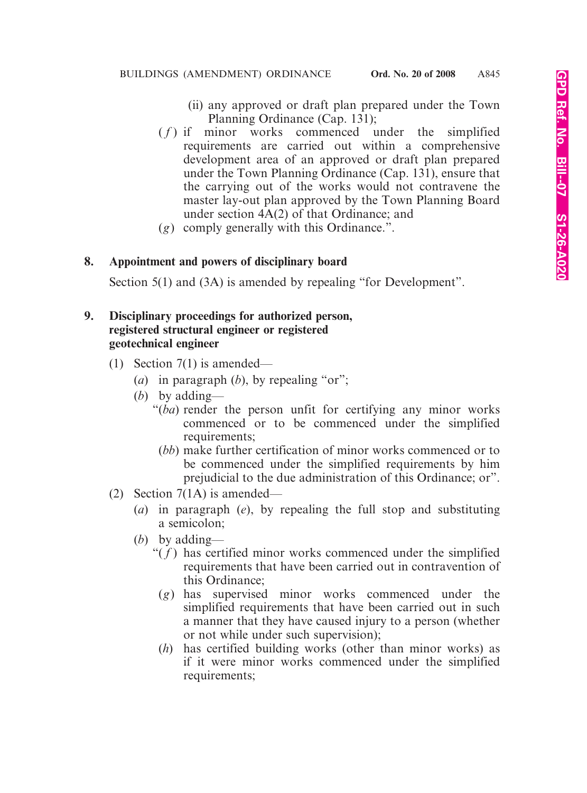- (ii) any approved or draft plan prepared under the Town Planning Ordinance (Cap. 131);
- $(f)$  if minor works commenced under the simplified requirements are carried out within a comprehensive development area of an approved or draft plan prepared under the Town Planning Ordinance (Cap. 131), ensure that the carrying out of the works would not contravene the master lay-out plan approved by the Town Planning Board under section 4A(2) of that Ordinance; and
- (*g*) comply generally with this Ordinance.".

## **8. Appointment and powers of disciplinary board**

Section 5(1) and (3A) is amended by repealing "for Development".

## **9. Disciplinary proceedings for authorized person, registered structural engineer or registered geotechnical engineer**

- (1) Section  $7(1)$  is amended—
	- (*a*) in paragraph (*b*), by repealing "or";
	- (*b*) by adding—
		- "(*ba*) render the person unfit for certifying any minor works commenced or to be commenced under the simplified requirements;
			- (*bb*) make further certification of minor works commenced or to be commenced under the simplified requirements by him prejudicial to the due administration of this Ordinance; or".
- (2) Section 7(1A) is amended—
	- (*a*) in paragraph (*e*), by repealing the full stop and substituting a semicolon;
	- (*b*) by adding—
		- " $(f)$  has certified minor works commenced under the simplified requirements that have been carried out in contravention of this Ordinance;
			- (*g*) has supervised minor works commenced under the simplified requirements that have been carried out in such a manner that they have caused injury to a person (whether or not while under such supervision);
		- (*h*) has certified building works (other than minor works) as if it were minor works commenced under the simplified requirements;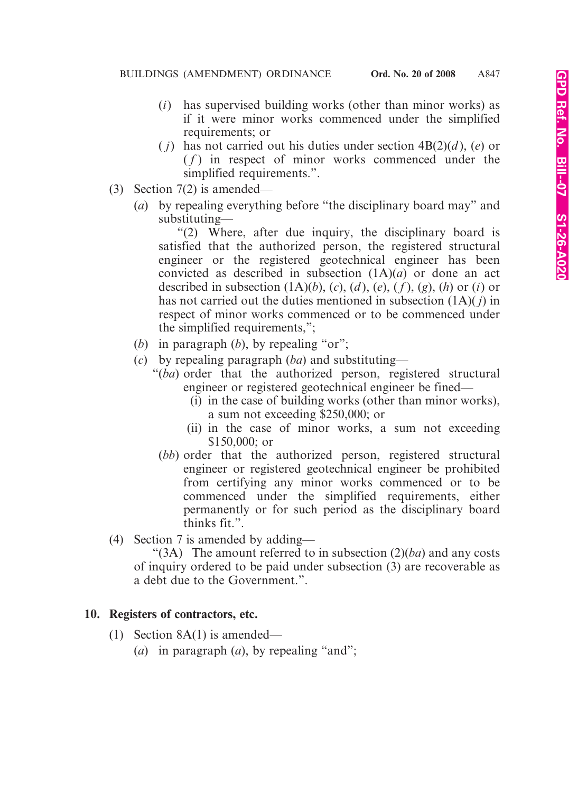- (*i*) has supervised building works (other than minor works) as if it were minor works commenced under the simplified requirements; or
- (*i*) has not carried out his duties under section  $4B(2)(d)$ , (*e*) or  $(f)$  in respect of minor works commenced under the simplified requirements.".
- (3) Section 7(2) is amended—
	- (*a*) by repealing everything before "the disciplinary board may" and substituting—

"(2) Where, after due inquiry, the disciplinary board is satisfied that the authorized person, the registered structural engineer or the registered geotechnical engineer has been convicted as described in subsection (1A)(*a*) or done an act described in subsection  $(1A)(b)$ ,  $(c)$ ,  $(d)$ ,  $(e)$ ,  $(f)$ ,  $(g)$ ,  $(h)$  or  $(i)$  or has not carried out the duties mentioned in subsection (1A)( *j*) in respect of minor works commenced or to be commenced under the simplified requirements,";

- (*b*) in paragraph (*b*), by repealing "or";
- (*c*) by repealing paragraph (*ba*) and substituting—
	- "(*ba*) order that the authorized person, registered structural engineer or registered geotechnical engineer be fined—
		- (i) in the case of building works (other than minor works), a sum not exceeding \$250,000; or
		- (ii) in the case of minor works, a sum not exceeding \$150,000; or
	- (*bb*) order that the authorized person, registered structural engineer or registered geotechnical engineer be prohibited from certifying any minor works commenced or to be commenced under the simplified requirements, either permanently or for such period as the disciplinary board thinks fit.".
- (4) Section 7 is amended by adding—

"(3A) The amount referred to in subsection (2)(*ba*) and any costs of inquiry ordered to be paid under subsection (3) are recoverable as a debt due to the Government.".

# **10. Registers of contractors, etc.**

- (1) Section 8A(1) is amended—
	- (*a*) in paragraph (*a*), by repealing "and";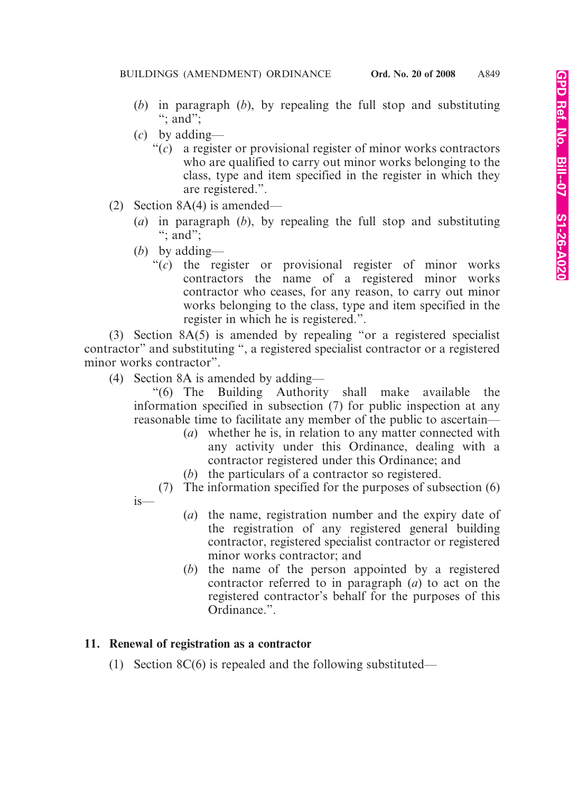- (*b*) in paragraph (*b*), by repealing the full stop and substituting "; and";
- (*c*) by adding—
	- "(*c*) a register or provisional register of minor works contractors who are qualified to carry out minor works belonging to the class, type and item specified in the register in which they are registered.".
- (2) Section 8A(4) is amended—
	- (*a*) in paragraph (*b*), by repealing the full stop and substituting "; and";
	- (*b*) by adding—
		- "(*c*) the register or provisional register of minor works contractors the name of a registered minor works contractor who ceases, for any reason, to carry out minor works belonging to the class, type and item specified in the register in which he is registered.".

(3) Section 8A(5) is amended by repealing "or a registered specialist contractor" and substituting ", a registered specialist contractor or a registered minor works contractor".

(4) Section 8A is amended by adding—

"(6) The Building Authority shall make available the information specified in subsection (7) for public inspection at any reasonable time to facilitate any member of the public to ascertain—

- (*a*) whether he is, in relation to any matter connected with any activity under this Ordinance, dealing with a contractor registered under this Ordinance; and
- (*b*) the particulars of a contractor so registered.

(7) The information specified for the purposes of subsection (6) is—

- (*a*) the name, registration number and the expiry date of the registration of any registered general building contractor, registered specialist contractor or registered minor works contractor; and
- (*b*) the name of the person appointed by a registered contractor referred to in paragraph (*a*) to act on the registered contractor's behalf for the purposes of this Ordinance.".

## **11. Renewal of registration as a contractor**

(1) Section 8C(6) is repealed and the following substituted—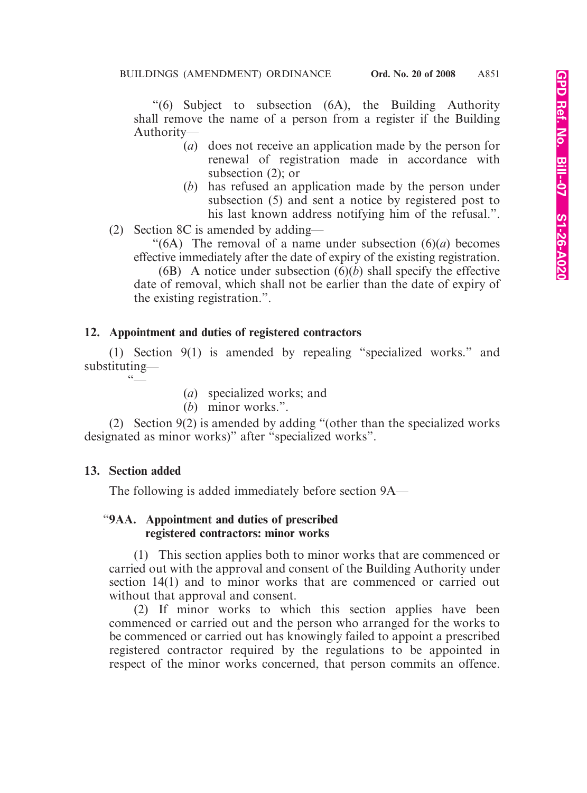"(6) Subject to subsection (6A), the Building Authority shall remove the name of a person from a register if the Building Authority—

- (*a*) does not receive an application made by the person for renewal of registration made in accordance with subsection (2); or
- (*b*) has refused an application made by the person under subsection (5) and sent a notice by registered post to his last known address notifying him of the refusal.".
- (2) Section 8C is amended by adding—

"(6A) The removal of a name under subsection (6)(*a*) becomes effective immediately after the date of expiry of the existing registration.

(6B) A notice under subsection (6)(*b*) shall specify the effective date of removal, which shall not be earlier than the date of expiry of the existing registration.".

# **12. Appointment and duties of registered contractors**

(1) Section 9(1) is amended by repealing "specialized works." and substituting—  $66$ 

- (*a*) specialized works; and
- (*b*) minor works.".

(2) Section 9(2) is amended by adding "(other than the specialized works designated as minor works)" after "specialized works".

## **13. Section added**

The following is added immediately before section 9A—

#### "**9AA. Appointment and duties of prescribed registered contractors: minor works**

(1) This section applies both to minor works that are commenced or carried out with the approval and consent of the Building Authority under section 14(1) and to minor works that are commenced or carried out without that approval and consent.

(2) If minor works to which this section applies have been commenced or carried out and the person who arranged for the works to be commenced or carried out has knowingly failed to appoint a prescribed registered contractor required by the regulations to be appointed in respect of the minor works concerned, that person commits an offence.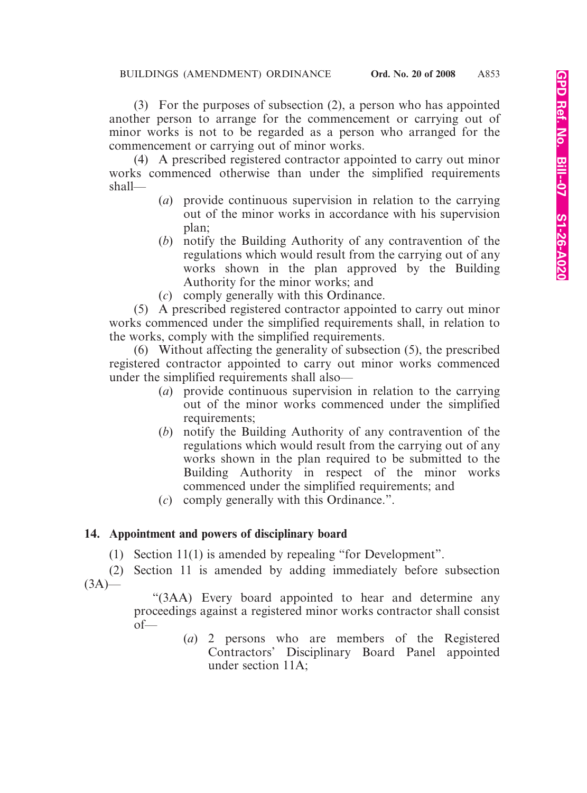(3) For the purposes of subsection (2), a person who has appointed another person to arrange for the commencement or carrying out of minor works is not to be regarded as a person who arranged for the commencement or carrying out of minor works.

(4) A prescribed registered contractor appointed to carry out minor works commenced otherwise than under the simplified requirements shall—

- (*a*) provide continuous supervision in relation to the carrying out of the minor works in accordance with his supervision plan;
- (*b*) notify the Building Authority of any contravention of the regulations which would result from the carrying out of any works shown in the plan approved by the Building Authority for the minor works; and
- (*c*) comply generally with this Ordinance.

(5) A prescribed registered contractor appointed to carry out minor works commenced under the simplified requirements shall, in relation to the works, comply with the simplified requirements.

(6) Without affecting the generality of subsection (5), the prescribed registered contractor appointed to carry out minor works commenced under the simplified requirements shall also—

- (*a*) provide continuous supervision in relation to the carrying out of the minor works commenced under the simplified requirements;
- (*b*) notify the Building Authority of any contravention of the regulations which would result from the carrying out of any works shown in the plan required to be submitted to the Building Authority in respect of the minor works commenced under the simplified requirements; and
- (*c*) comply generally with this Ordinance.".

# **14. Appointment and powers of disciplinary board**

(1) Section 11(1) is amended by repealing "for Development".

(2) Section 11 is amended by adding immediately before subsection  $(3A)$ —

> "(3AA) Every board appointed to hear and determine any proceedings against a registered minor works contractor shall consist of—

> > (*a*) 2 persons who are members of the Registered Contractors' Disciplinary Board Panel appointed under section 11A;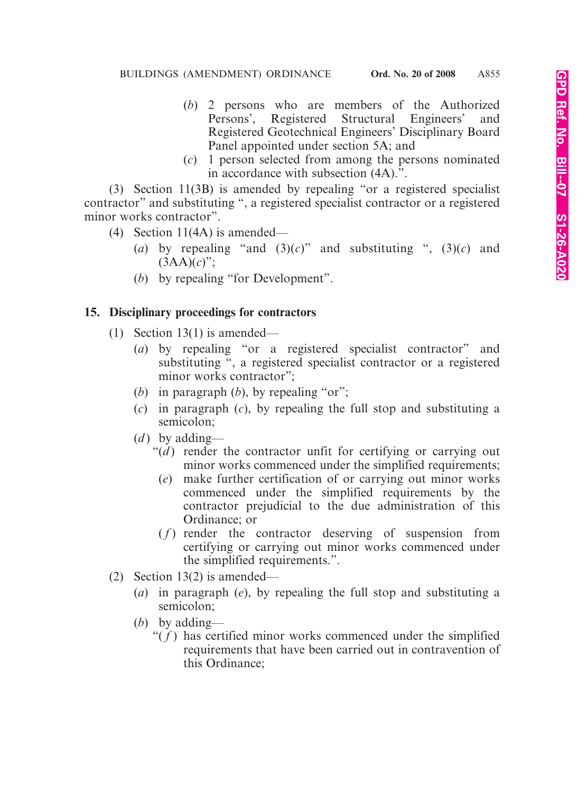- (*b*) 2 persons who are members of the Authorized Persons', Registered Structural Engineers' and Registered Geotechnical Engineers' Disciplinary Board Panel appointed under section 5A; and
- (*c*) 1 person selected from among the persons nominated in accordance with subsection (4A).".

(3) Section 11(3B) is amended by repealing "or a registered specialist contractor" and substituting ", a registered specialist contractor or a registered minor works contractor".

- (4) Section 11(4A) is amended—
	- (*a*) by repealing "and  $(3)(c)$ " and substituting ",  $(3)(c)$  and  $(3AA)(c)$ ";
	- (*b*) by repealing "for Development".

# **15. Disciplinary proceedings for contractors**

- (1) Section 13(1) is amended—
	- (*a*) by repealing "or a registered specialist contractor" and substituting ", a registered specialist contractor or a registered minor works contractor";
	- (*b*) in paragraph (*b*), by repealing "or";
	- (*c*) in paragraph (*c*), by repealing the full stop and substituting a semicolon;
	- (*d*) by adding—
		- " $(d)$  render the contractor unfit for certifying or carrying out minor works commenced under the simplified requirements;
			- (*e*) make further certification of or carrying out minor works commenced under the simplified requirements by the contractor prejudicial to the due administration of this Ordinance; or
		- $(f)$  render the contractor deserving of suspension from certifying or carrying out minor works commenced under the simplified requirements.".
- (2) Section 13(2) is amended—
	- (*a*) in paragraph (*e*), by repealing the full stop and substituting a semicolon;
	- (*b*) by adding—
		- " $(f)$  has certified minor works commenced under the simplified requirements that have been carried out in contravention of this Ordinance;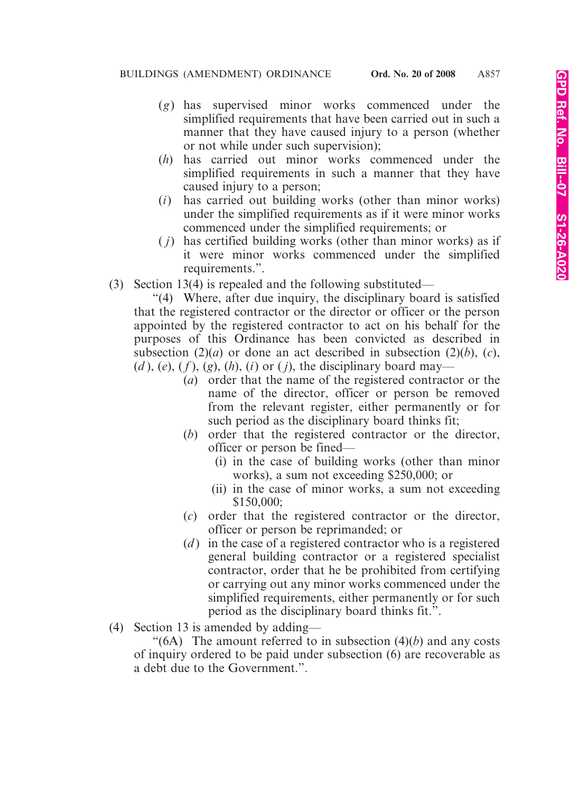- (*g*) has supervised minor works commenced under the simplified requirements that have been carried out in such a manner that they have caused injury to a person (whether or not while under such supervision);
- (*h*) has carried out minor works commenced under the simplified requirements in such a manner that they have caused injury to a person;
- (*i*) has carried out building works (other than minor works) under the simplified requirements as if it were minor works commenced under the simplified requirements; or
- ( *j*) has certified building works (other than minor works) as if it were minor works commenced under the simplified requirements.".
- (3) Section 13(4) is repealed and the following substituted—

"(4) Where, after due inquiry, the disciplinary board is satisfied that the registered contractor or the director or officer or the person appointed by the registered contractor to act on his behalf for the purposes of this Ordinance has been convicted as described in subsection  $(2)(a)$  or done an act described in subsection  $(2)(b)$ ,  $(c)$ ,  $(d)$ ,  $(e)$ ,  $(f)$ ,  $(g)$ ,  $(h)$ ,  $(i)$  or  $(j)$ , the disciplinary board may—

- (*a*) order that the name of the registered contractor or the name of the director, officer or person be removed from the relevant register, either permanently or for such period as the disciplinary board thinks fit;
- (*b*) order that the registered contractor or the director, officer or person be fined—
	- (i) in the case of building works (other than minor works), a sum not exceeding \$250,000; or
	- (ii) in the case of minor works, a sum not exceeding \$150,000;
- (*c*) order that the registered contractor or the director, officer or person be reprimanded; or
- (*d* ) in the case of a registered contractor who is a registered general building contractor or a registered specialist contractor, order that he be prohibited from certifying or carrying out any minor works commenced under the simplified requirements, either permanently or for such period as the disciplinary board thinks fit.".
- (4) Section 13 is amended by adding—

" $(6A)$  The amount referred to in subsection  $(4)(b)$  and any costs of inquiry ordered to be paid under subsection (6) are recoverable as a debt due to the Government.".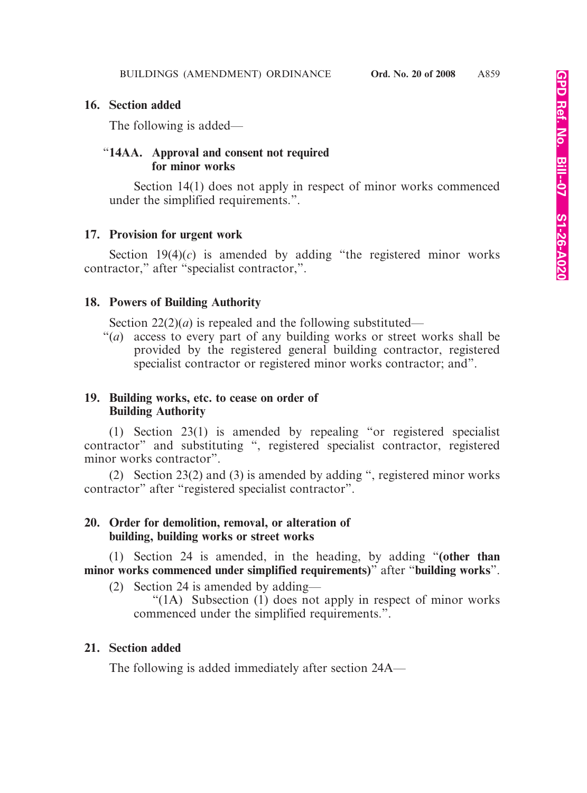## **16. Section added**

The following is added—

## "**14AA. Approval and consent not required for minor works**

Section 14(1) does not apply in respect of minor works commenced under the simplified requirements.".

#### **17. Provision for urgent work**

Section  $19(4)(c)$  is amended by adding "the registered minor works" contractor," after "specialist contractor,".

## **18. Powers of Building Authority**

Section  $22(2)(a)$  is repealed and the following substituted—

"(*a*) access to every part of any building works or street works shall be provided by the registered general building contractor, registered specialist contractor or registered minor works contractor; and".

## **19. Building works, etc. to cease on order of Building Authority**

(1) Section 23(1) is amended by repealing "or registered specialist contractor" and substituting ", registered specialist contractor, registered minor works contractor".

(2) Section 23(2) and (3) is amended by adding ", registered minor works contractor" after "registered specialist contractor".

## **20. Order for demolition, removal, or alteration of building, building works or street works**

(1) Section 24 is amended, in the heading, by adding "**(other than minor works commenced under simplified requirements)**" after "**building works**".

(2) Section 24 is amended by adding—

"(1A) Subsection (1) does not apply in respect of minor works commenced under the simplified requirements.".

## **21. Section added**

The following is added immediately after section 24A—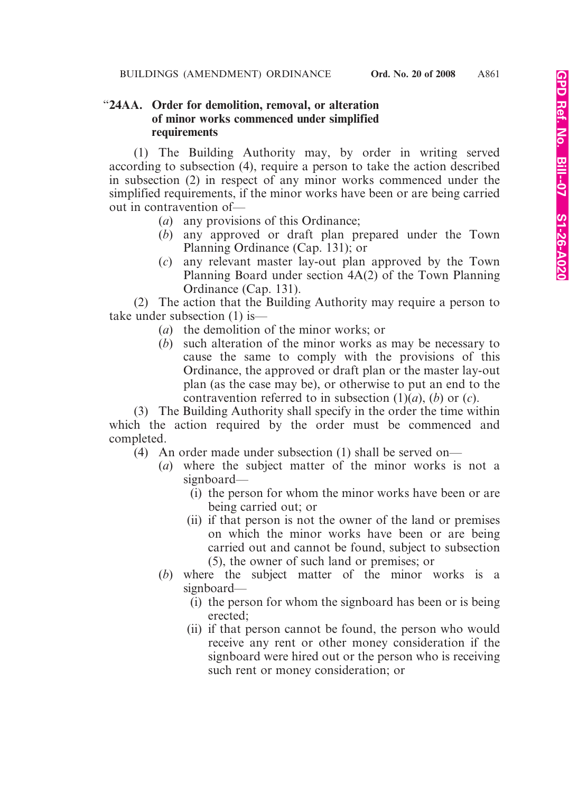## "**24AA. Order for demolition, removal, or alteration of minor works commenced under simplified requirements**

(1) The Building Authority may, by order in writing served according to subsection (4), require a person to take the action described in subsection (2) in respect of any minor works commenced under the simplified requirements, if the minor works have been or are being carried out in contravention of—

- (*a*) any provisions of this Ordinance;
- (*b*) any approved or draft plan prepared under the Town Planning Ordinance (Cap. 131); or
- (*c*) any relevant master lay-out plan approved by the Town Planning Board under section 4A(2) of the Town Planning Ordinance (Cap. 131).

(2) The action that the Building Authority may require a person to take under subsection (1) is—

- (*a*) the demolition of the minor works; or
- (*b*) such alteration of the minor works as may be necessary to cause the same to comply with the provisions of this Ordinance, the approved or draft plan or the master lay-out plan (as the case may be), or otherwise to put an end to the contravention referred to in subsection  $(1)(a)$ ,  $(b)$  or  $(c)$ .

(3) The Building Authority shall specify in the order the time within which the action required by the order must be commenced and completed.

- (4) An order made under subsection (1) shall be served on—
	- (*a*) where the subject matter of the minor works is not a signboard—
		- (i) the person for whom the minor works have been or are being carried out; or
		- (ii) if that person is not the owner of the land or premises on which the minor works have been or are being carried out and cannot be found, subject to subsection (5), the owner of such land or premises; or
	- (*b*) where the subject matter of the minor works is a signboard—
		- (i) the person for whom the signboard has been or is being erected;
		- (ii) if that person cannot be found, the person who would receive any rent or other money consideration if the signboard were hired out or the person who is receiving such rent or money consideration; or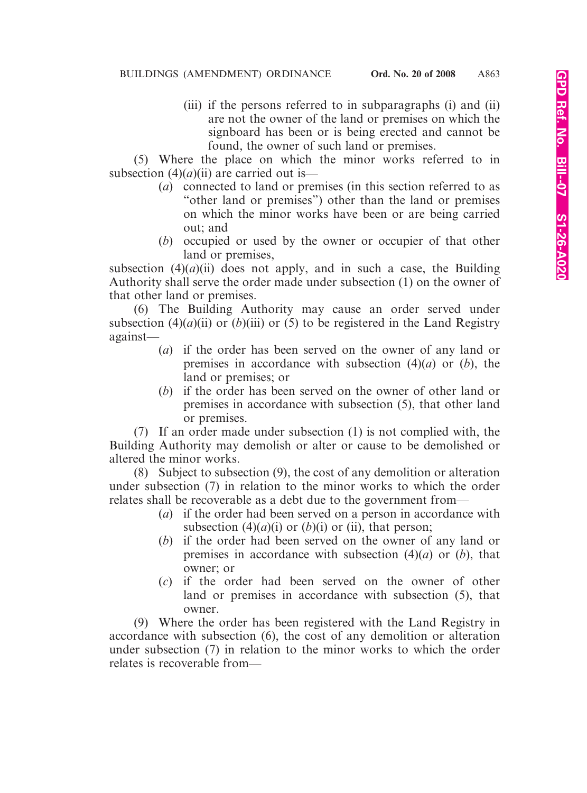(iii) if the persons referred to in subparagraphs (i) and (ii) are not the owner of the land or premises on which the signboard has been or is being erected and cannot be found, the owner of such land or premises.

(5) Where the place on which the minor works referred to in subsection  $(4)(a)(ii)$  are carried out is—

- (*a*) connected to land or premises (in this section referred to as "other land or premises") other than the land or premises on which the minor works have been or are being carried out; and
- (*b*) occupied or used by the owner or occupier of that other land or premises,

subsection  $(4)(a)(ii)$  does not apply, and in such a case, the Building Authority shall serve the order made under subsection (1) on the owner of that other land or premises.

(6) The Building Authority may cause an order served under subsection (4)( $a$ )(ii) or (b)(iii) or (5) to be registered in the Land Registry against—

- (*a*) if the order has been served on the owner of any land or premises in accordance with subsection (4)(*a*) or (*b*), the land or premises; or
- (*b*) if the order has been served on the owner of other land or premises in accordance with subsection (5), that other land or premises.

(7) If an order made under subsection (1) is not complied with, the Building Authority may demolish or alter or cause to be demolished or altered the minor works.

(8) Subject to subsection (9), the cost of any demolition or alteration under subsection (7) in relation to the minor works to which the order relates shall be recoverable as a debt due to the government from—

- (*a*) if the order had been served on a person in accordance with subsection  $(4)(a)(i)$  or  $(b)(i)$  or (ii), that person;
- (*b*) if the order had been served on the owner of any land or premises in accordance with subsection (4)(*a*) or (*b*), that owner; or
- (*c*) if the order had been served on the owner of other land or premises in accordance with subsection (5), that owner.

(9) Where the order has been registered with the Land Registry in accordance with subsection (6), the cost of any demolition or alteration under subsection (7) in relation to the minor works to which the order relates is recoverable from—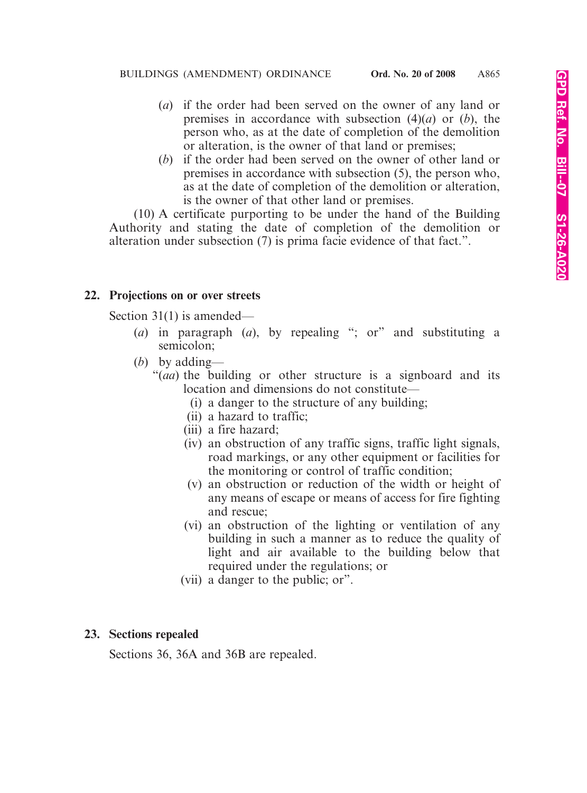- (*a*) if the order had been served on the owner of any land or premises in accordance with subsection (4)(*a*) or (*b*), the person who, as at the date of completion of the demolition or alteration, is the owner of that land or premises;
- (*b*) if the order had been served on the owner of other land or premises in accordance with subsection (5), the person who, as at the date of completion of the demolition or alteration, is the owner of that other land or premises.

(10) A certificate purporting to be under the hand of the Building Authority and stating the date of completion of the demolition or alteration under subsection (7) is prima facie evidence of that fact.".

#### **22. Projections on or over streets**

Section 31(1) is amended—

- (*a*) in paragraph (*a*), by repealing "; or" and substituting a semicolon;
- (*b*) by adding—
	- "(*aa*) the building or other structure is a signboard and its location and dimensions do not constitute—
		- (i) a danger to the structure of any building;
		- (ii) a hazard to traffic;
		- (iii) a fire hazard;
		- (iv) an obstruction of any traffic signs, traffic light signals, road markings, or any other equipment or facilities for the monitoring or control of traffic condition;
		- (v) an obstruction or reduction of the width or height of any means of escape or means of access for fire fighting and rescue;
		- (vi) an obstruction of the lighting or ventilation of any building in such a manner as to reduce the quality of light and air available to the building below that required under the regulations; or
		- (vii) a danger to the public; or".

#### **23. Sections repealed**

Sections 36, 36A and 36B are repealed.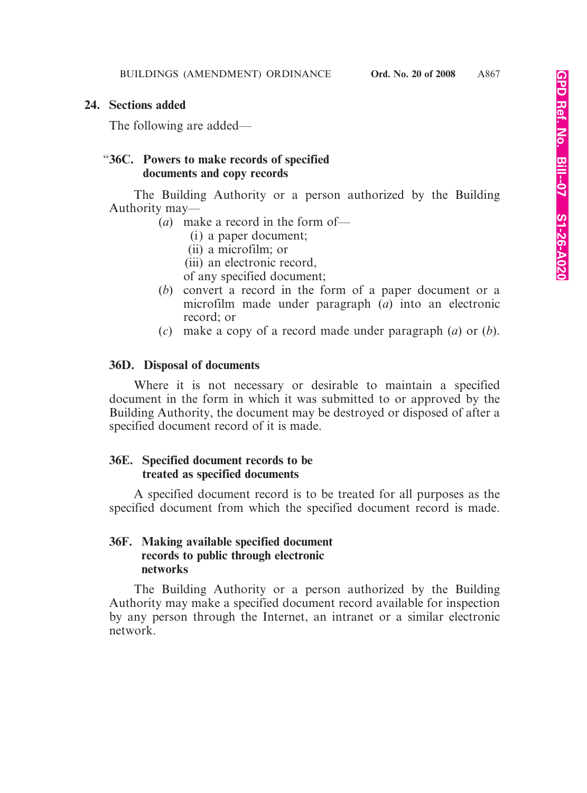#### **24. Sections added**

The following are added—

#### "**36C. Powers to make records of specified documents and copy records**

The Building Authority or a person authorized by the Building Authority may—

- (*a*) make a record in the form of—
	- (i) a paper document;
	- (ii) a microfilm; or
	- (iii) an electronic record,
	- of any specified document;
- (*b*) convert a record in the form of a paper document or a microfilm made under paragraph (*a*) into an electronic record; or
- (*c*) make a copy of a record made under paragraph (*a*) or (*b*).

# **36D. Disposal of documents**

Where it is not necessary or desirable to maintain a specified document in the form in which it was submitted to or approved by the Building Authority, the document may be destroyed or disposed of after a specified document record of it is made.

## **36E. Specified document records to be treated as specified documents**

A specified document record is to be treated for all purposes as the specified document from which the specified document record is made.

# **36F. Making available specified document records to public through electronic networks**

The Building Authority or a person authorized by the Building Authority may make a specified document record available for inspection by any person through the Internet, an intranet or a similar electronic network.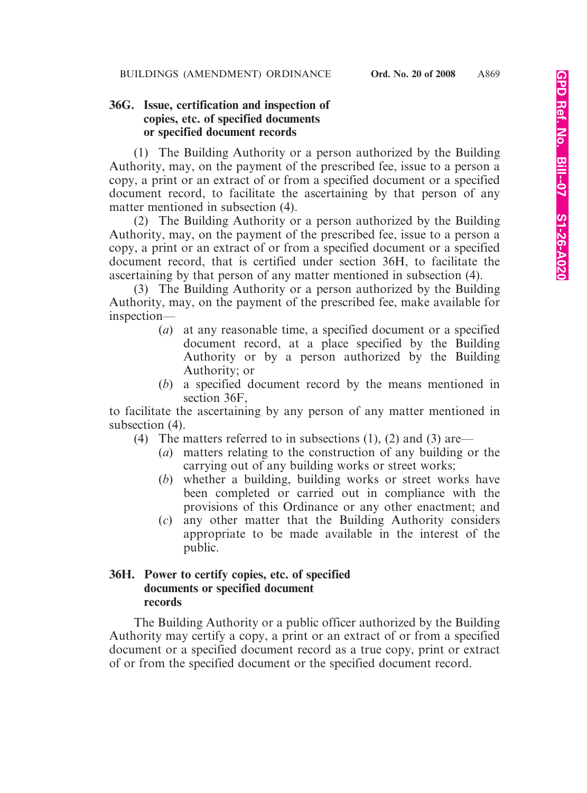## **36G. Issue, certification and inspection of copies, etc. of specified documents or specified document records**

(1) The Building Authority or a person authorized by the Building Authority, may, on the payment of the prescribed fee, issue to a person a copy, a print or an extract of or from a specified document or a specified document record, to facilitate the ascertaining by that person of any matter mentioned in subsection (4).

(2) The Building Authority or a person authorized by the Building Authority, may, on the payment of the prescribed fee, issue to a person a copy, a print or an extract of or from a specified document or a specified document record, that is certified under section 36H, to facilitate the ascertaining by that person of any matter mentioned in subsection (4).

(3) The Building Authority or a person authorized by the Building Authority, may, on the payment of the prescribed fee, make available for inspection—

- (*a*) at any reasonable time, a specified document or a specified document record, at a place specified by the Building Authority or by a person authorized by the Building Authority; or
- (*b*) a specified document record by the means mentioned in section 36F,

to facilitate the ascertaining by any person of any matter mentioned in subsection (4).

- (4) The matters referred to in subsections (1), (2) and (3) are—
	- (*a*) matters relating to the construction of any building or the carrying out of any building works or street works;
	- (*b*) whether a building, building works or street works have been completed or carried out in compliance with the provisions of this Ordinance or any other enactment; and
	- (*c*) any other matter that the Building Authority considers appropriate to be made available in the interest of the public.

## **36H. Power to certify copies, etc. of specified documents or specified document records**

The Building Authority or a public officer authorized by the Building Authority may certify a copy, a print or an extract of or from a specified document or a specified document record as a true copy, print or extract of or from the specified document or the specified document record.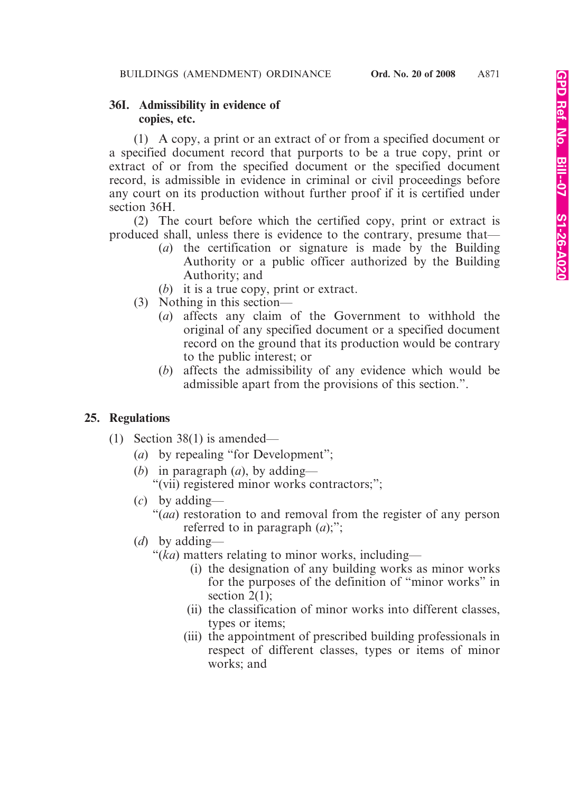## **36I. Admissibility in evidence of copies, etc.**

(1) A copy, a print or an extract of or from a specified document or a specified document record that purports to be a true copy, print or extract of or from the specified document or the specified document record, is admissible in evidence in criminal or civil proceedings before any court on its production without further proof if it is certified under section 36H.

(2) The court before which the certified copy, print or extract is produced shall, unless there is evidence to the contrary, presume that—

- (*a*) the certification or signature is made by the Building Authority or a public officer authorized by the Building Authority; and
- (*b*) it is a true copy, print or extract.
- (3) Nothing in this section—
	- (*a*) affects any claim of the Government to withhold the original of any specified document or a specified document record on the ground that its production would be contrary to the public interest; or
	- (*b*) affects the admissibility of any evidence which would be admissible apart from the provisions of this section.".

# **25. Regulations**

- (1) Section 38(1) is amended—
	- (*a*) by repealing "for Development";
	- (*b*) in paragraph (*a*), by adding— "(vii) registered minor works contractors;";
	- (*c*) by adding—
		- "(*aa*) restoration to and removal from the register of any person referred to in paragraph (*a*);";
	- (*d*) by adding—
		- "(*ka*) matters relating to minor works, including—
			- (i) the designation of any building works as minor works for the purposes of the definition of "minor works" in section  $2(1)$ ;
			- (ii) the classification of minor works into different classes, types or items;
			- (iii) the appointment of prescribed building professionals in respect of different classes, types or items of minor works; and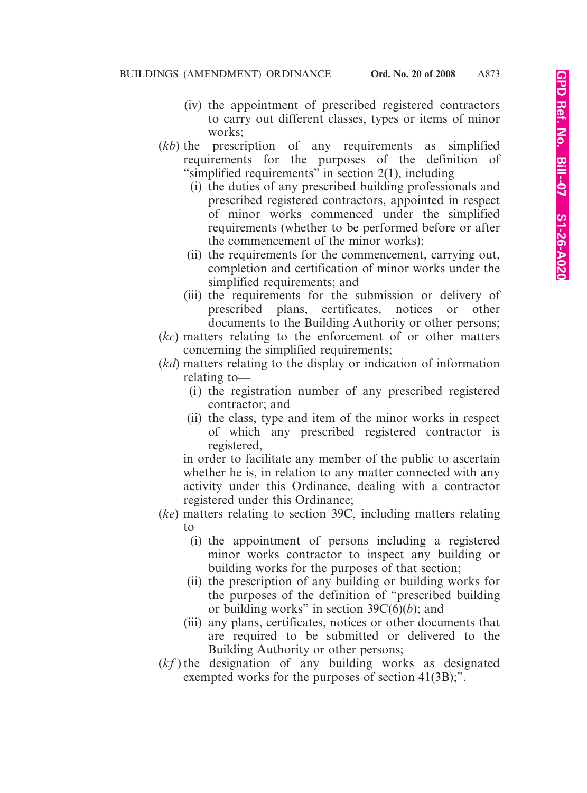- (iv) the appointment of prescribed registered contractors to carry out different classes, types or items of minor works;
- (*kb*) the prescription of any requirements as simplified requirements for the purposes of the definition of "simplified requirements" in section  $2(1)$ , including—
	- (i) the duties of any prescribed building professionals and prescribed registered contractors, appointed in respect of minor works commenced under the simplified requirements (whether to be performed before or after the commencement of the minor works);
	- (ii) the requirements for the commencement, carrying out, completion and certification of minor works under the simplified requirements; and
	- (iii) the requirements for the submission or delivery of prescribed plans, certificates, notices or other documents to the Building Authority or other persons;
- (*kc*) matters relating to the enforcement of or other matters concerning the simplified requirements;
- (*kd*) matters relating to the display or indication of information relating to—
	- (i) the registration number of any prescribed registered contractor; and
	- (ii) the class, type and item of the minor works in respect of which any prescribed registered contractor is registered,

in order to facilitate any member of the public to ascertain whether he is, in relation to any matter connected with any activity under this Ordinance, dealing with a contractor registered under this Ordinance;

- (*ke*) matters relating to section 39C, including matters relating  $to$ 
	- (i) the appointment of persons including a registered minor works contractor to inspect any building or building works for the purposes of that section;
	- (ii) the prescription of any building or building works for the purposes of the definition of "prescribed building or building works" in section  $39C(6)(b)$ ; and
	- (iii) any plans, certificates, notices or other documents that are required to be submitted or delivered to the Building Authority or other persons;
- (*kf* ) the designation of any building works as designated exempted works for the purposes of section 41(3B);".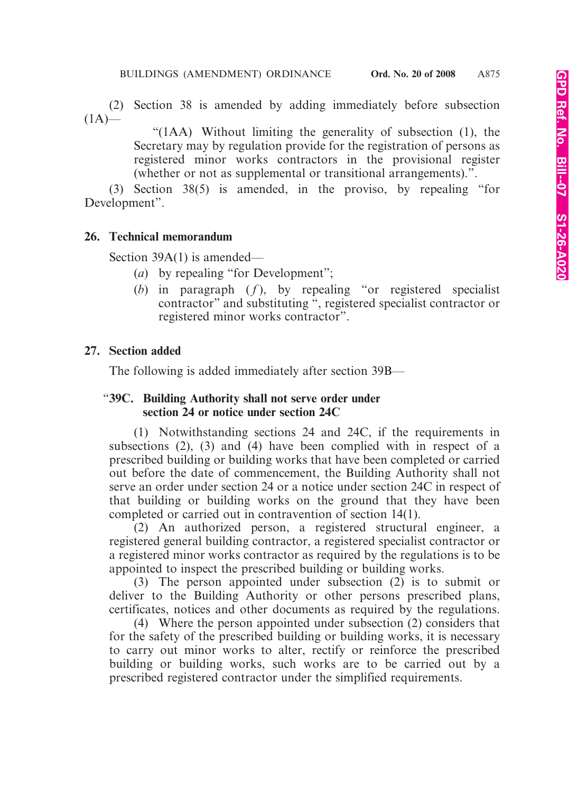(2) Section 38 is amended by adding immediately before subsection  $(1A)$ —

> "(1AA) Without limiting the generality of subsection (1), the Secretary may by regulation provide for the registration of persons as registered minor works contractors in the provisional register (whether or not as supplemental or transitional arrangements).".

(3) Section 38(5) is amended, in the proviso, by repealing "for Development".

#### **26. Technical memorandum**

Section 39A(1) is amended—

- (*a*) by repealing "for Development";
- ( $b$ ) in paragraph  $(f)$ , by repealing "or registered specialist contractor" and substituting ", registered specialist contractor or registered minor works contractor".

#### **27. Section added**

The following is added immediately after section 39B—

#### "**39C. Building Authority shall not serve order under section 24 or notice under section 24C**

(1) Notwithstanding sections 24 and 24C, if the requirements in subsections (2), (3) and (4) have been complied with in respect of a prescribed building or building works that have been completed or carried out before the date of commencement, the Building Authority shall not serve an order under section 24 or a notice under section 24C in respect of that building or building works on the ground that they have been completed or carried out in contravention of section 14(1).

(2) An authorized person, a registered structural engineer, a registered general building contractor, a registered specialist contractor or a registered minor works contractor as required by the regulations is to be appointed to inspect the prescribed building or building works.

(3) The person appointed under subsection (2) is to submit or deliver to the Building Authority or other persons prescribed plans, certificates, notices and other documents as required by the regulations.

(4) Where the person appointed under subsection (2) considers that for the safety of the prescribed building or building works, it is necessary to carry out minor works to alter, rectify or reinforce the prescribed building or building works, such works are to be carried out by a prescribed registered contractor under the simplified requirements.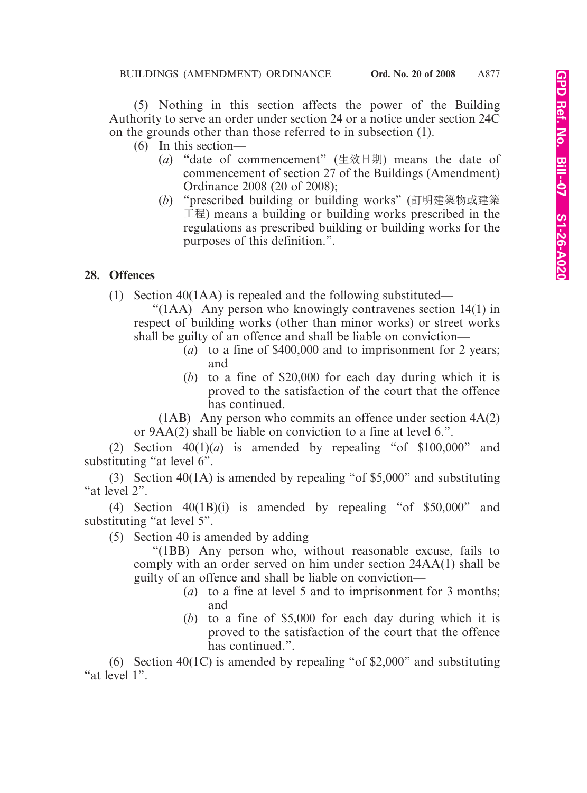(5) Nothing in this section affects the power of the Building Authority to serve an order under section 24 or a notice under section 24C on the grounds other than those referred to in subsection (1).

- (6) In this section—
	- (*a*) "date of commencement" (生效日期) means the date of commencement of section 27 of the Buildings (Amendment) Ordinance 2008 (20 of 2008);
	- (*b*) "prescribed building or building works" (訂明建築物或建築 工程) means a building or building works prescribed in the regulations as prescribed building or building works for the purposes of this definition.".

## **28. Offences**

(1) Section 40(1AA) is repealed and the following substituted—

"(1AA) Any person who knowingly contravenes section 14(1) in respect of building works (other than minor works) or street works shall be guilty of an offence and shall be liable on conviction—

- (*a*) to a fine of \$400,000 and to imprisonment for 2 years; and
- (*b*) to a fine of \$20,000 for each day during which it is proved to the satisfaction of the court that the offence has continued.

(1AB) Any person who commits an offence under section 4A(2) or 9AA(2) shall be liable on conviction to a fine at level 6.".

(2) Section  $40(1)(a)$  is amended by repealing "of \$100,000" and substituting "at level 6".

(3) Section 40(1A) is amended by repealing "of \$5,000" and substituting "at level 2".

(4) Section 40(1B)(i) is amended by repealing "of \$50,000" and substituting "at level 5".

(5) Section 40 is amended by adding—

"(1BB) Any person who, without reasonable excuse, fails to comply with an order served on him under section 24AA(1) shall be guilty of an offence and shall be liable on conviction—

- (*a*) to a fine at level 5 and to imprisonment for 3 months; and
- (*b*) to a fine of \$5,000 for each day during which it is proved to the satisfaction of the court that the offence has continued.".

(6) Section 40(1C) is amended by repealing "of \$2,000" and substituting "at level 1".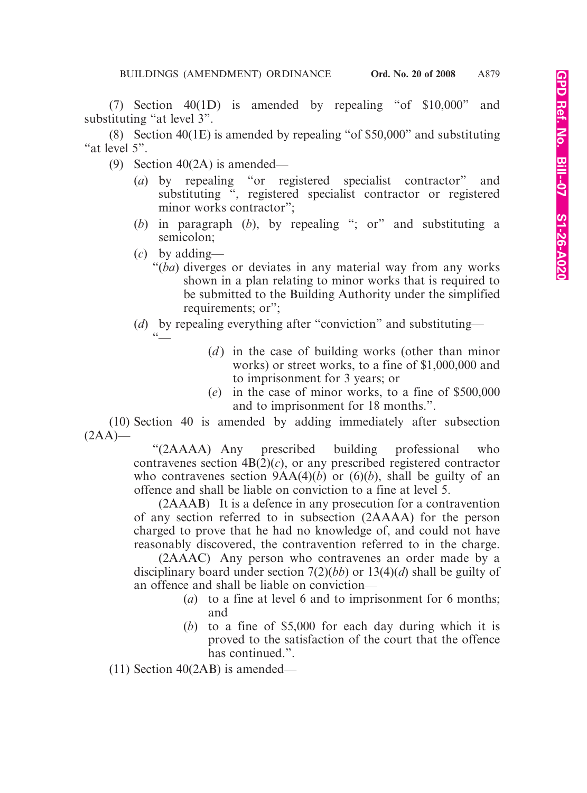(7) Section 40(1D) is amended by repealing "of \$10,000" and substituting "at level 3".

(8) Section 40(1E) is amended by repealing "of \$50,000" and substituting "at level 5".

- (9) Section 40(2A) is amended—
	- (*a*) by repealing "or registered specialist contractor" and substituting ", registered specialist contractor or registered minor works contractor";
	- (*b*) in paragraph (*b*), by repealing "; or" and substituting a semicolon;
	- (*c*) by adding—
		- "(*ba*) diverges or deviates in any material way from any works shown in a plan relating to minor works that is required to be submitted to the Building Authority under the simplified requirements; or";
	- (*d*) by repealing everything after "conviction" and substituting—  $\overset{\circ}{\phantom{a}}^{\phantom{\ast}}$ 
		- (*d*) in the case of building works (other than minor works) or street works, to a fine of \$1,000,000 and to imprisonment for 3 years; or
		- (*e*) in the case of minor works, to a fine of \$500,000 and to imprisonment for 18 months.".

(10) Section 40 is amended by adding immediately after subsection  $(2AA)$ —

> "(2AAAA) Any prescribed building professional who contravenes section  $4B(2)(c)$ , or any prescribed registered contractor who contravenes section  $9AA(4)(b)$  or  $(6)(b)$ , shall be guilty of an offence and shall be liable on conviction to a fine at level 5.

> (2AAAB) It is a defence in any prosecution for a contravention of any section referred to in subsection (2AAAA) for the person charged to prove that he had no knowledge of, and could not have reasonably discovered, the contravention referred to in the charge.

> (2AAAC) Any person who contravenes an order made by a disciplinary board under section 7(2)(*bb*) or 13(4)(*d*) shall be guilty of an offence and shall be liable on conviction—

- (*a*) to a fine at level 6 and to imprisonment for 6 months; and
- (*b*) to a fine of \$5,000 for each day during which it is proved to the satisfaction of the court that the offence has continued.".

(11) Section 40(2AB) is amended—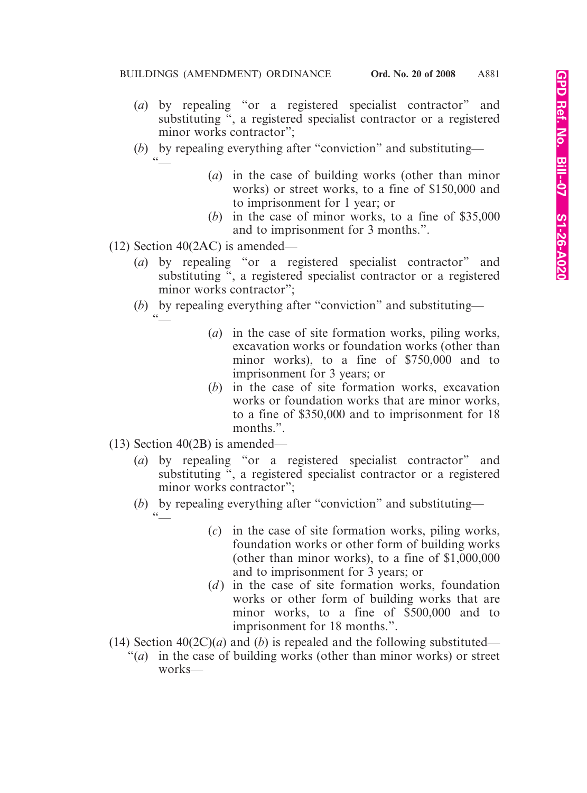- (*a*) by repealing "or a registered specialist contractor" and substituting ", a registered specialist contractor or a registered minor works contractor";
- (*b*) by repealing everything after "conviction" and substituting—  $\frac{1}{\sqrt{2}}$ 
	- (*a*) in the case of building works (other than minor works) or street works, to a fine of \$150,000 and to imprisonment for 1 year; or
	- (*b*) in the case of minor works, to a fine of \$35,000 and to imprisonment for 3 months.".
- (12) Section 40(2AC) is amended—

 $\overset{\circ}{\phantom{a}}^{\phantom{\ast}}$ 

- (*a*) by repealing "or a registered specialist contractor" and substituting ", a registered specialist contractor or a registered minor works contractor";
- (*b*) by repealing everything after "conviction" and substituting—
	- (*a*) in the case of site formation works, piling works, excavation works or foundation works (other than minor works), to a fine of \$750,000 and to imprisonment for 3 years; or
	- (*b*) in the case of site formation works, excavation works or foundation works that are minor works, to a fine of \$350,000 and to imprisonment for 18 months.".
- (13) Section 40(2B) is amended—
	- (*a*) by repealing "or a registered specialist contractor" and substituting ", a registered specialist contractor or a registered minor works contractor";
	- (*b*) by repealing everything after "conviction" and substituting—  $\zeta \, \zeta$ 
		- (*c*) in the case of site formation works, piling works, foundation works or other form of building works (other than minor works), to a fine of \$1,000,000 and to imprisonment for 3 years; or
		- (*d*) in the case of site formation works, foundation works or other form of building works that are minor works, to a fine of \$500,000 and to imprisonment for 18 months.".
- (14) Section  $40(2C)(a)$  and (*b*) is repealed and the following substituted—
	- "(*a*) in the case of building works (other than minor works) or street works—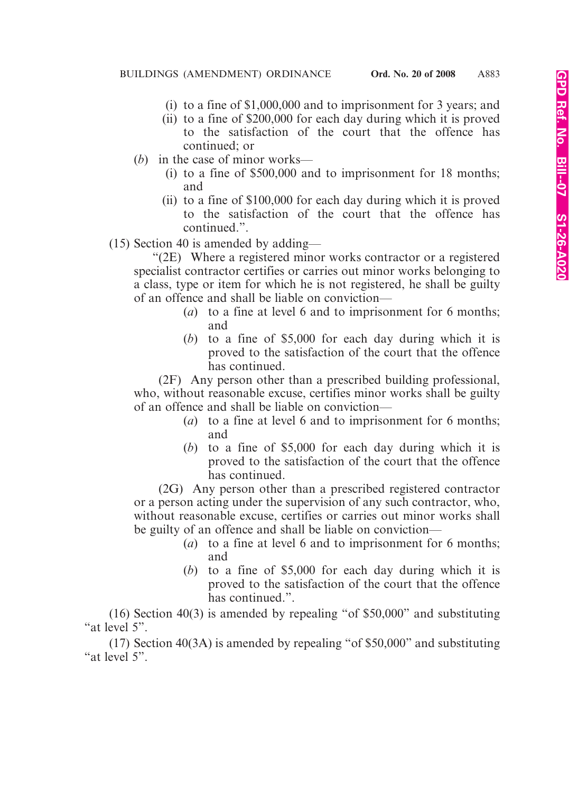- (i) to a fine of \$1,000,000 and to imprisonment for 3 years; and
- (ii) to a fine of \$200,000 for each day during which it is proved to the satisfaction of the court that the offence has continued; or
- (*b*) in the case of minor works—
	- (i) to a fine of \$500,000 and to imprisonment for 18 months; and
	- (ii) to a fine of \$100,000 for each day during which it is proved to the satisfaction of the court that the offence has continued.".
- (15) Section 40 is amended by adding—

"(2E) Where a registered minor works contractor or a registered specialist contractor certifies or carries out minor works belonging to a class, type or item for which he is not registered, he shall be guilty of an offence and shall be liable on conviction—

- (*a*) to a fine at level 6 and to imprisonment for 6 months; and
- (*b*) to a fine of \$5,000 for each day during which it is proved to the satisfaction of the court that the offence has continued.

(2F) Any person other than a prescribed building professional, who, without reasonable excuse, certifies minor works shall be guilty of an offence and shall be liable on conviction—

- (*a*) to a fine at level 6 and to imprisonment for 6 months; and
- (*b*) to a fine of \$5,000 for each day during which it is proved to the satisfaction of the court that the offence has continued.

(2G) Any person other than a prescribed registered contractor or a person acting under the supervision of any such contractor, who, without reasonable excuse, certifies or carries out minor works shall be guilty of an offence and shall be liable on conviction—

- (*a*) to a fine at level 6 and to imprisonment for 6 months; and
- (*b*) to a fine of \$5,000 for each day during which it is proved to the satisfaction of the court that the offence has continued.".

(16) Section 40(3) is amended by repealing "of \$50,000" and substituting "at level 5".

(17) Section 40(3A) is amended by repealing "of \$50,000" and substituting "at level 5".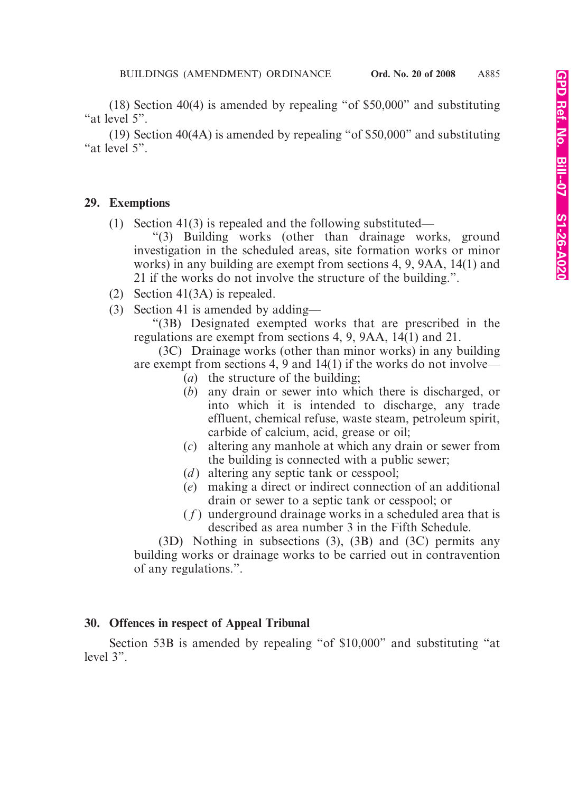(18) Section 40(4) is amended by repealing "of \$50,000" and substituting "at level 5".

(19) Section 40(4A) is amended by repealing "of \$50,000" and substituting "at level 5".

#### **29. Exemptions**

(1) Section 41(3) is repealed and the following substituted—

"(3) Building works (other than drainage works, ground investigation in the scheduled areas, site formation works or minor works) in any building are exempt from sections 4, 9, 9AA, 14(1) and 21 if the works do not involve the structure of the building.".

- (2) Section 41(3A) is repealed.
- (3) Section 41 is amended by adding—

"(3B) Designated exempted works that are prescribed in the regulations are exempt from sections 4, 9, 9AA, 14(1) and 21.

(3C) Drainage works (other than minor works) in any building are exempt from sections 4, 9 and 14(1) if the works do not involve—

- (*a*) the structure of the building;
- (*b*) any drain or sewer into which there is discharged, or into which it is intended to discharge, any trade effluent, chemical refuse, waste steam, petroleum spirit, carbide of calcium, acid, grease or oil;
- (*c*) altering any manhole at which any drain or sewer from the building is connected with a public sewer;
- (*d*) altering any septic tank or cesspool;
- (*e*) making a direct or indirect connection of an additional drain or sewer to a septic tank or cesspool; or
- ( *f* ) underground drainage works in a scheduled area that is described as area number 3 in the Fifth Schedule.

(3D) Nothing in subsections (3), (3B) and (3C) permits any building works or drainage works to be carried out in contravention of any regulations.".

## **30. Offences in respect of Appeal Tribunal**

Section 53B is amended by repealing "of \$10,000" and substituting "at level 3".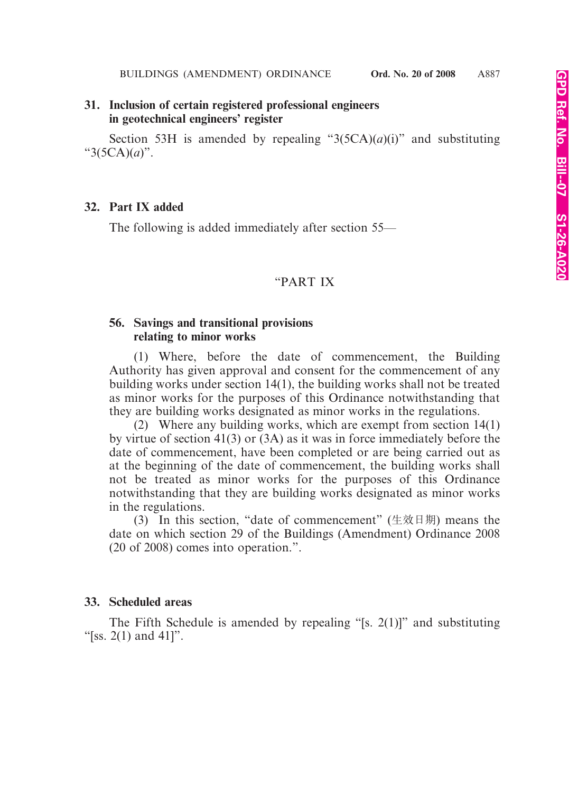#### **31. Inclusion of certain registered professional engineers in geotechnical engineers' register**

Section 53H is amended by repealing " $3(5CA)(a)(i)$ " and substituting "3(5CA)(*a*)".

#### **32. Part IX added**

The following is added immediately after section 55—

#### "PART IX

#### **56. Savings and transitional provisions relating to minor works**

(1) Where, before the date of commencement, the Building Authority has given approval and consent for the commencement of any building works under section 14(1), the building works shall not be treated as minor works for the purposes of this Ordinance notwithstanding that they are building works designated as minor works in the regulations.

(2) Where any building works, which are exempt from section 14(1) by virtue of section 41(3) or (3A) as it was in force immediately before the date of commencement, have been completed or are being carried out as at the beginning of the date of commencement, the building works shall not be treated as minor works for the purposes of this Ordinance notwithstanding that they are building works designated as minor works in the regulations.

(3) In this section, "date of commencement" (生效日期) means the date on which section 29 of the Buildings (Amendment) Ordinance 2008 (20 of 2008) comes into operation.".

#### **33. Scheduled areas**

The Fifth Schedule is amended by repealing "[s. 2(1)]" and substituting "[ss.  $2(1)$  and  $41$ ]".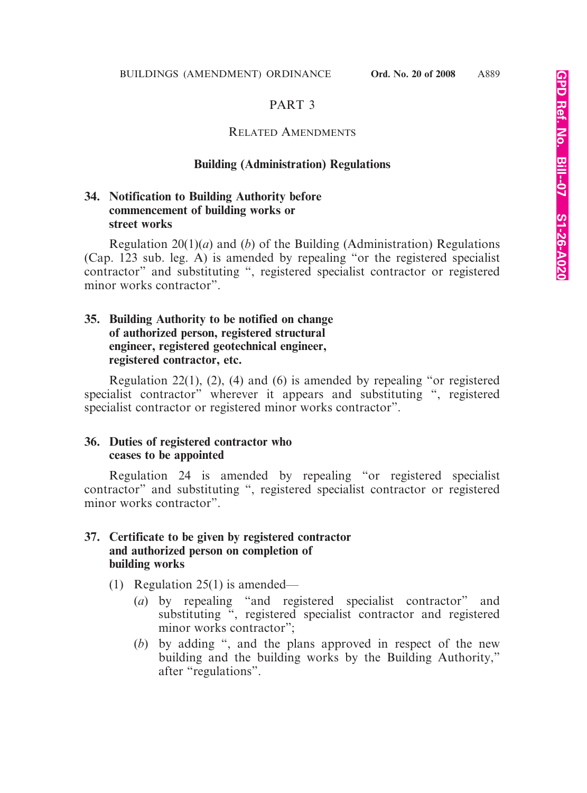# PART 3

## RELATED AMENDMENTS

#### **Building (Administration) Regulations**

## **34. Notification to Building Authority before commencement of building works or street works**

Regulation 20(1)(*a*) and (*b*) of the Building (Administration) Regulations (Cap. 123 sub. leg. A) is amended by repealing "or the registered specialist contractor" and substituting ", registered specialist contractor or registered minor works contractor".

## **35. Building Authority to be notified on change of authorized person, registered structural engineer, registered geotechnical engineer, registered contractor, etc.**

Regulation 22(1), (2), (4) and (6) is amended by repealing "or registered specialist contractor" wherever it appears and substituting ", registered specialist contractor or registered minor works contractor".

## **36. Duties of registered contractor who ceases to be appointed**

Regulation 24 is amended by repealing "or registered specialist contractor" and substituting ", registered specialist contractor or registered minor works contractor".

#### **37. Certificate to be given by registered contractor and authorized person on completion of building works**

- (1) Regulation 25(1) is amended—
	- (*a*) by repealing "and registered specialist contractor" and substituting ", registered specialist contractor and registered minor works contractor";
	- (*b*) by adding ", and the plans approved in respect of the new building and the building works by the Building Authority," after "regulations".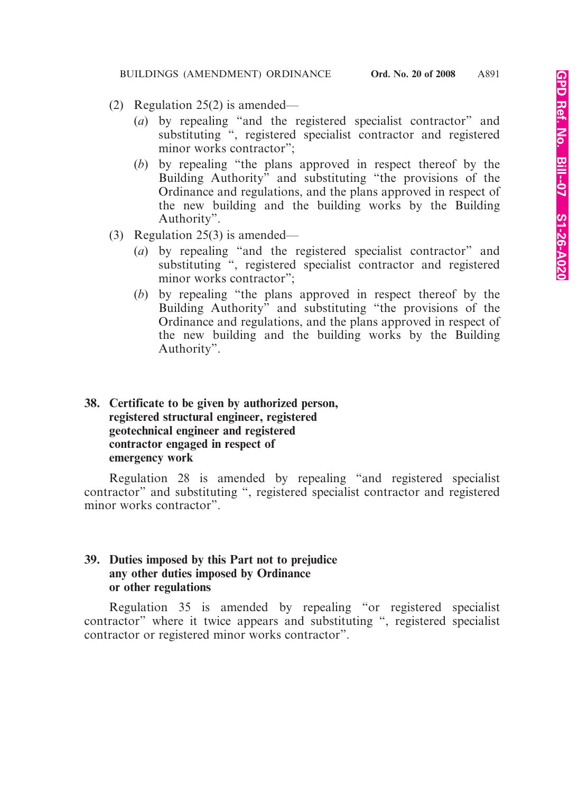- (2) Regulation 25(2) is amended—
	- (*a*) by repealing "and the registered specialist contractor" and substituting ", registered specialist contractor and registered minor works contractor":
	- (*b*) by repealing "the plans approved in respect thereof by the Building Authority" and substituting "the provisions of the Ordinance and regulations, and the plans approved in respect of the new building and the building works by the Building Authority".
- (3) Regulation 25(3) is amended—
	- (*a*) by repealing "and the registered specialist contractor" and substituting ", registered specialist contractor and registered minor works contractor";
	- (*b*) by repealing "the plans approved in respect thereof by the Building Authority" and substituting "the provisions of the Ordinance and regulations, and the plans approved in respect of the new building and the building works by the Building Authority".

# **38. Certificate to be given by authorized person, registered structural engineer, registered geotechnical engineer and registered contractor engaged in respect of emergency work**

Regulation 28 is amended by repealing "and registered specialist contractor" and substituting ", registered specialist contractor and registered minor works contractor".

# **39. Duties imposed by this Part not to prejudice any other duties imposed by Ordinance or other regulations**

Regulation 35 is amended by repealing "or registered specialist contractor" where it twice appears and substituting ", registered specialist contractor or registered minor works contractor".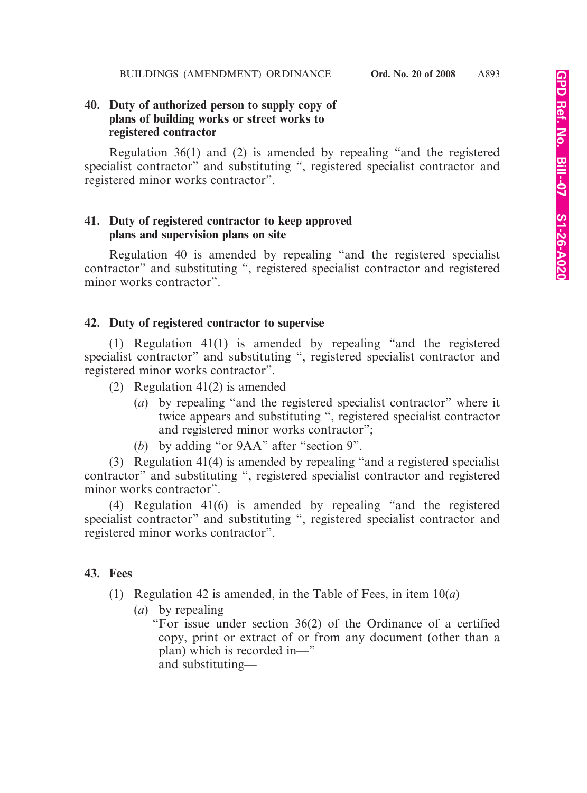# **40. Duty of authorized person to supply copy of plans of building works or street works to registered contractor**

Regulation 36(1) and (2) is amended by repealing "and the registered specialist contractor" and substituting ", registered specialist contractor and registered minor works contractor".

# **41. Duty of registered contractor to keep approved plans and supervision plans on site**

Regulation 40 is amended by repealing "and the registered specialist contractor" and substituting ", registered specialist contractor and registered minor works contractor".

# **42. Duty of registered contractor to supervise**

(1) Regulation 41(1) is amended by repealing "and the registered specialist contractor" and substituting ", registered specialist contractor and registered minor works contractor".

(2) Regulation 41(2) is amended—

- (*a*) by repealing "and the registered specialist contractor" where it twice appears and substituting ", registered specialist contractor and registered minor works contractor";
- (*b*) by adding "or 9AA" after "section 9".

(3) Regulation 41(4) is amended by repealing "and a registered specialist contractor" and substituting ", registered specialist contractor and registered minor works contractor".

(4) Regulation 41(6) is amended by repealing "and the registered specialist contractor" and substituting ", registered specialist contractor and registered minor works contractor".

# **43. Fees**

- (1) Regulation 42 is amended, in the Table of Fees, in item  $10(a)$ 
	- (*a*) by repealing—

"For issue under section 36(2) of the Ordinance of a certified copy, print or extract of or from any document (other than a plan) which is recorded in—" and substituting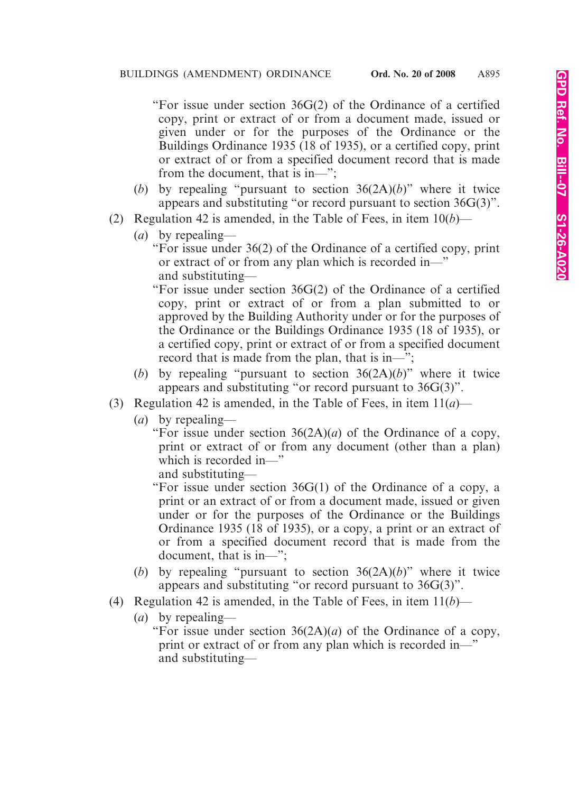"For issue under section 36G(2) of the Ordinance of a certified copy, print or extract of or from a document made, issued or given under or for the purposes of the Ordinance or the Buildings Ordinance 1935 (18 of 1935), or a certified copy, print or extract of or from a specified document record that is made from the document, that is in—";

- (*b*) by repealing "pursuant to section 36(2A)(*b*)" where it twice appears and substituting "or record pursuant to section 36G(3)".
- (2) Regulation 42 is amended, in the Table of Fees, in item 10(*b*)—
	- (*a*) by repealing—

"For issue under 36(2) of the Ordinance of a certified copy, print or extract of or from any plan which is recorded in—" and substituting—

"For issue under section 36G(2) of the Ordinance of a certified copy, print or extract of or from a plan submitted to or approved by the Building Authority under or for the purposes of the Ordinance or the Buildings Ordinance 1935 (18 of 1935), or a certified copy, print or extract of or from a specified document record that is made from the plan, that is in—";

- (*b*) by repealing "pursuant to section 36(2A)(*b*)" where it twice appears and substituting "or record pursuant to 36G(3)".
- (3) Regulation 42 is amended, in the Table of Fees, in item 11(*a*)—
	- (*a*) by repealing—

"For issue under section  $36(2A)(a)$  of the Ordinance of a copy, print or extract of or from any document (other than a plan) which is recorded in—"

and substituting—

"For issue under section 36G(1) of the Ordinance of a copy, a print or an extract of or from a document made, issued or given under or for the purposes of the Ordinance or the Buildings Ordinance 1935 (18 of 1935), or a copy, a print or an extract of or from a specified document record that is made from the document, that is in—";

- (*b*) by repealing "pursuant to section 36(2A)(*b*)" where it twice appears and substituting "or record pursuant to 36G(3)".
- (4) Regulation 42 is amended, in the Table of Fees, in item 11(*b*)—
	- (*a*) by repealing—

"For issue under section  $36(2A)(a)$  of the Ordinance of a copy, print or extract of or from any plan which is recorded in—" and substituting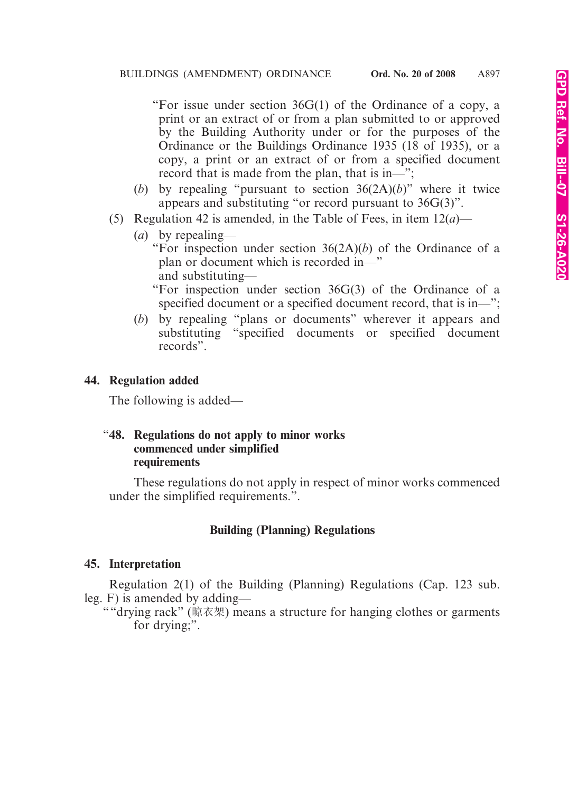"For issue under section 36G(1) of the Ordinance of a copy, a print or an extract of or from a plan submitted to or approved by the Building Authority under or for the purposes of the Ordinance or the Buildings Ordinance 1935 (18 of 1935), or a copy, a print or an extract of or from a specified document record that is made from the plan, that is in—";

- (*b*) by repealing "pursuant to section 36(2A)(*b*)" where it twice appears and substituting "or record pursuant to 36G(3)".
- (5) Regulation 42 is amended, in the Table of Fees, in item 12(*a*)—
	- (*a*) by repealing—

"For inspection under section 36(2A)(*b*) of the Ordinance of a plan or document which is recorded in—" and substituting—

"For inspection under section 36G(3) of the Ordinance of a specified document or a specified document record, that is in—";

(*b*) by repealing "plans or documents" wherever it appears and substituting "specified documents or specified document records".

# **44. Regulation added**

The following is added—

#### "**48. Regulations do not apply to minor works commenced under simplified requirements**

These regulations do not apply in respect of minor works commenced under the simplified requirements.".

# **Building (Planning) Regulations**

## **45. Interpretation**

Regulation 2(1) of the Building (Planning) Regulations (Cap. 123 sub. leg. F) is amended by adding—

""drying rack" (晾衣架) means a structure for hanging clothes or garments for drying;".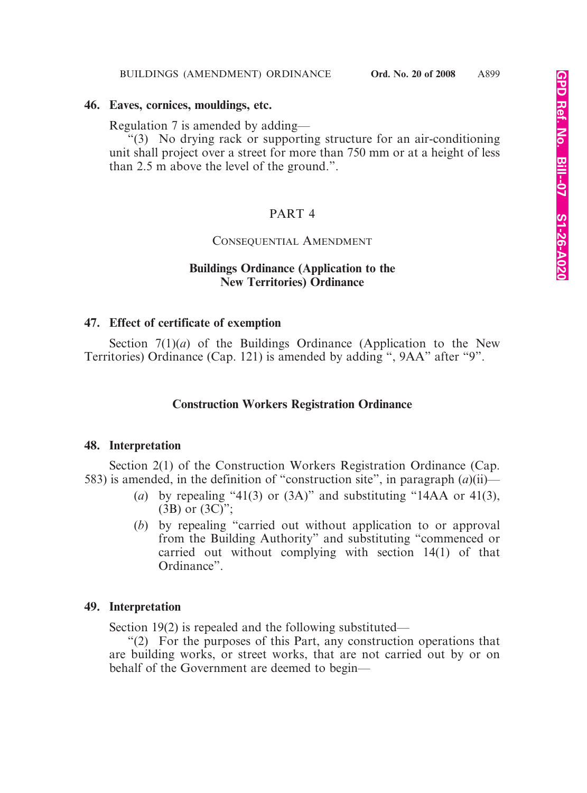#### **46. Eaves, cornices, mouldings, etc.**

Regulation 7 is amended by adding—

"(3) No drying rack or supporting structure for an air-conditioning unit shall project over a street for more than 750 mm or at a height of less than 2.5 m above the level of the ground.".

# PART 4

## CONSEQUENTIAL AMENDMENT

# **Buildings Ordinance (Application to the New Territories) Ordinance**

## **47. Effect of certificate of exemption**

Section  $7(1)(a)$  of the Buildings Ordinance (Application to the New Territories) Ordinance (Cap. 121) is amended by adding ", 9AA" after "9".

## **Construction Workers Registration Ordinance**

#### **48. Interpretation**

Section 2(1) of the Construction Workers Registration Ordinance (Cap. 583) is amended, in the definition of "construction site", in paragraph (*a*)(ii)—

- (*a*) by repealing "41(3) or  $(3A)$ " and substituting "14AA or 41(3),  $(3B)$  or  $(3C)$ ";
- (*b*) by repealing "carried out without application to or approval from the Building Authority" and substituting "commenced or carried out without complying with section 14(1) of that Ordinance".

## **49. Interpretation**

Section 19(2) is repealed and the following substituted—

"(2) For the purposes of this Part, any construction operations that are building works, or street works, that are not carried out by or on behalf of the Government are deemed to begin—